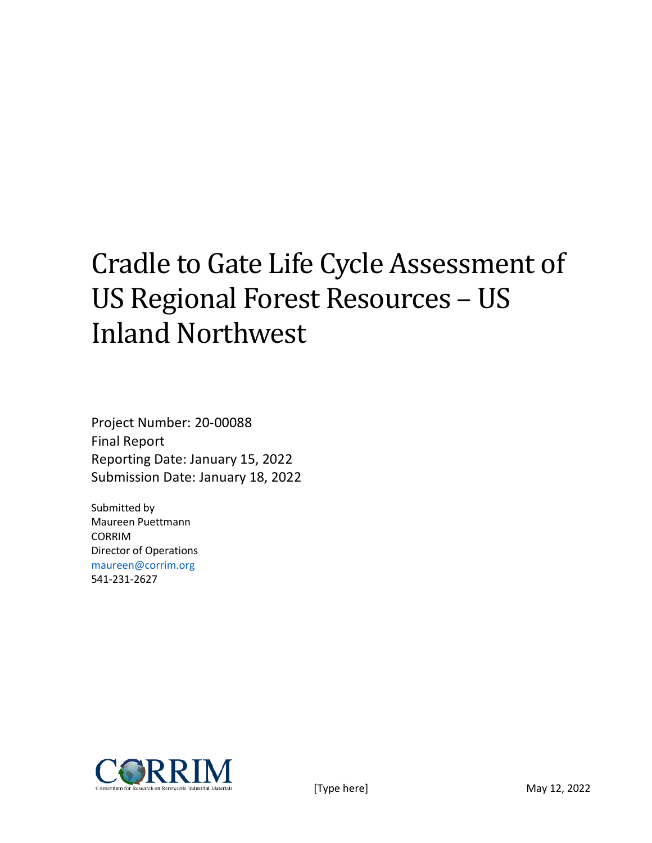# Cradle to Gate Life Cycle Assessment of US Regional Forest Resources – US Inland Northwest

Project Number: 20-00088 Final Report Reporting Date: January 15, 2022 Submission Date: January 18, 2022

Submitted by Maureen Puettmann CORRIM Director of Operations maureen@corrim.org 541-231-2627

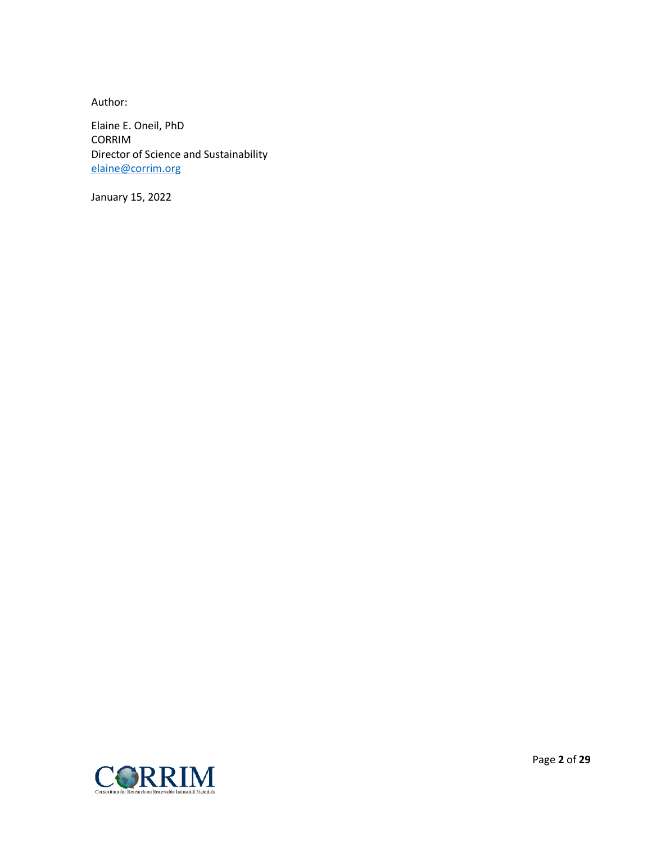Author:

Elaine E. Oneil, PhD CORRIM Director of Science and Sustainability [elaine@corrim.org](mailto:elaine@corrim.org)

January 15, 2022

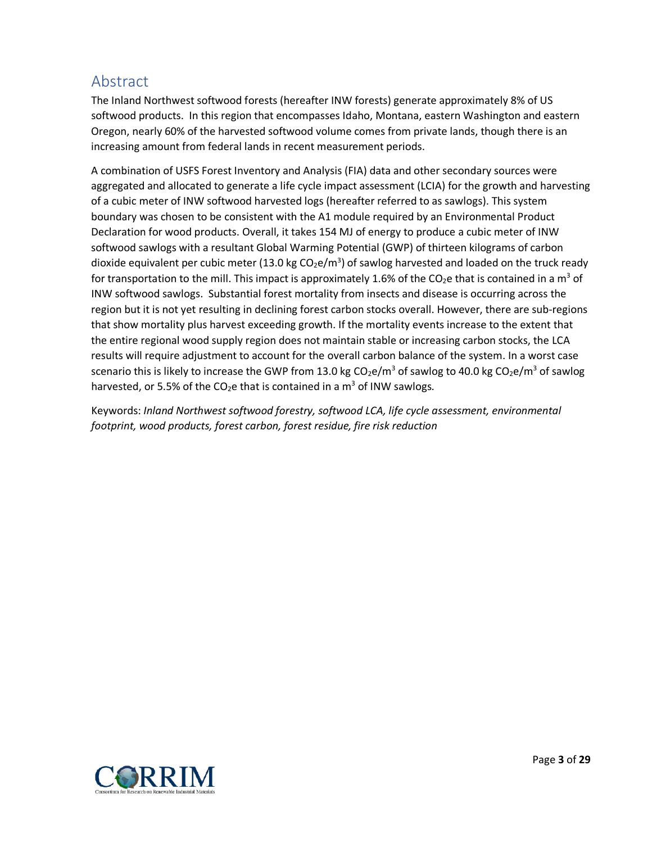# <span id="page-2-0"></span>Abstract

The Inland Northwest softwood forests (hereafter INW forests) generate approximately 8% of US softwood products. In this region that encompasses Idaho, Montana, eastern Washington and eastern Oregon, nearly 60% of the harvested softwood volume comes from private lands, though there is an increasing amount from federal lands in recent measurement periods.

A combination of USFS Forest Inventory and Analysis (FIA) data and other secondary sources were aggregated and allocated to generate a life cycle impact assessment (LCIA) for the growth and harvesting of a cubic meter of INW softwood harvested logs (hereafter referred to as sawlogs). This system boundary was chosen to be consistent with the A1 module required by an Environmental Product Declaration for wood products. Overall, it takes 154 MJ of energy to produce a cubic meter of INW softwood sawlogs with a resultant Global Warming Potential (GWP) of thirteen kilograms of carbon dioxide equivalent per cubic meter (13.0 kg CO<sub>2</sub>e/m<sup>3</sup>) of sawlog harvested and loaded on the truck ready for transportation to the mill. This impact is approximately 1.6% of the  $CO<sub>2</sub>e$  that is contained in a m<sup>3</sup> of INW softwood sawlogs. Substantial forest mortality from insects and disease is occurring across the region but it is not yet resulting in declining forest carbon stocks overall. However, there are sub-regions that show mortality plus harvest exceeding growth. If the mortality events increase to the extent that the entire regional wood supply region does not maintain stable or increasing carbon stocks, the LCA results will require adjustment to account for the overall carbon balance of the system. In a worst case scenario this is likely to increase the GWP from 13.0 kg  $CO<sub>2</sub>e/m<sup>3</sup>$  of sawlog to 40.0 kg  $CO<sub>2</sub>e/m<sup>3</sup>$  of sawlog harvested, or 5.5% of the CO<sub>2</sub>e that is contained in a m<sup>3</sup> of INW sawlogs.

Keywords: *Inland Northwest softwood forestry, softwood LCA, life cycle assessment, environmental footprint, wood products, forest carbon, forest residue, fire risk reduction*

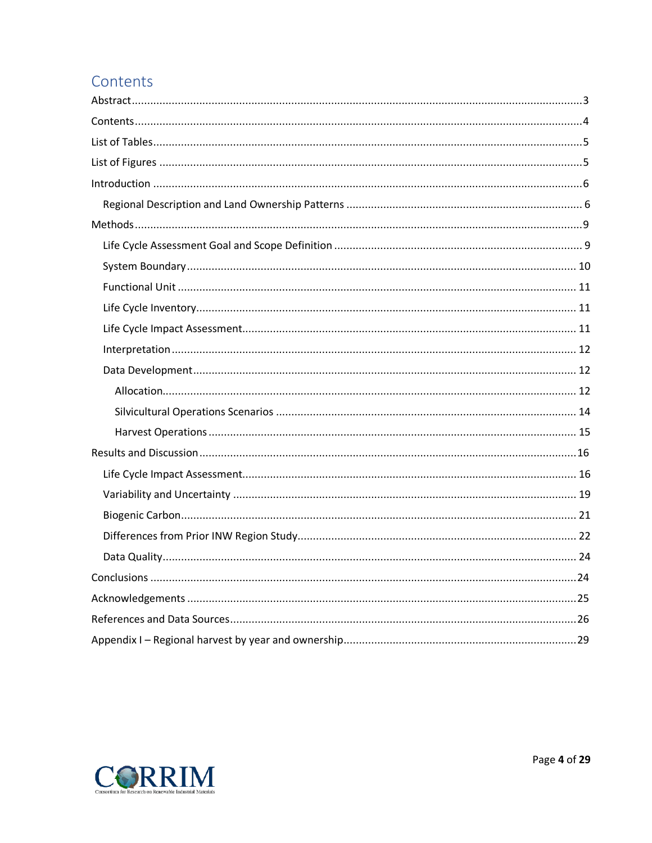# <span id="page-3-0"></span>Contents

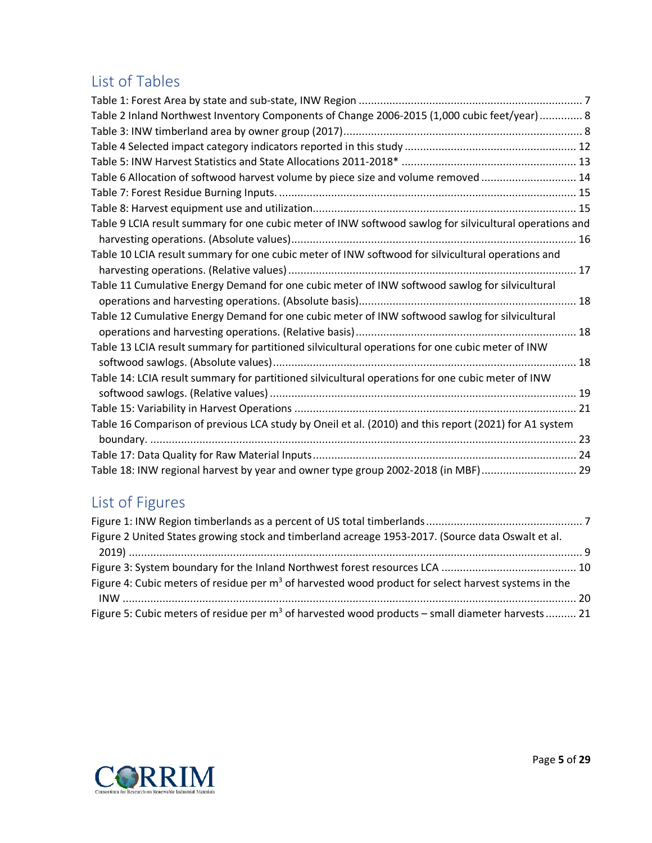# <span id="page-4-0"></span>List of Tables

| Table 2 Inland Northwest Inventory Components of Change 2006-2015 (1,000 cubic feet/year) 8             |  |
|---------------------------------------------------------------------------------------------------------|--|
|                                                                                                         |  |
|                                                                                                         |  |
|                                                                                                         |  |
| Table 6 Allocation of softwood harvest volume by piece size and volume removed  14                      |  |
|                                                                                                         |  |
|                                                                                                         |  |
| Table 9 LCIA result summary for one cubic meter of INW softwood sawlog for silvicultural operations and |  |
|                                                                                                         |  |
| Table 10 LCIA result summary for one cubic meter of INW softwood for silvicultural operations and       |  |
|                                                                                                         |  |
| Table 11 Cumulative Energy Demand for one cubic meter of INW softwood sawlog for silvicultural          |  |
|                                                                                                         |  |
| Table 12 Cumulative Energy Demand for one cubic meter of INW softwood sawlog for silvicultural          |  |
|                                                                                                         |  |
| Table 13 LCIA result summary for partitioned silvicultural operations for one cubic meter of INW        |  |
|                                                                                                         |  |
| Table 14: LCIA result summary for partitioned silvicultural operations for one cubic meter of INW       |  |
|                                                                                                         |  |
|                                                                                                         |  |
| Table 16 Comparison of previous LCA study by Oneil et al. (2010) and this report (2021) for A1 system   |  |
|                                                                                                         |  |
|                                                                                                         |  |
| Table 18: INW regional harvest by year and owner type group 2002-2018 (in MBF) 29                       |  |

# <span id="page-4-1"></span>List of Figures

| Figure 2 United States growing stock and timberland acreage 1953-2017. (Source data Oswalt et al.      |  |
|--------------------------------------------------------------------------------------------------------|--|
|                                                                                                        |  |
|                                                                                                        |  |
| Figure 4: Cubic meters of residue per $m3$ of harvested wood product for select harvest systems in the |  |
|                                                                                                        |  |
| Figure 5: Cubic meters of residue per $m^3$ of harvested wood products – small diameter harvests  21   |  |

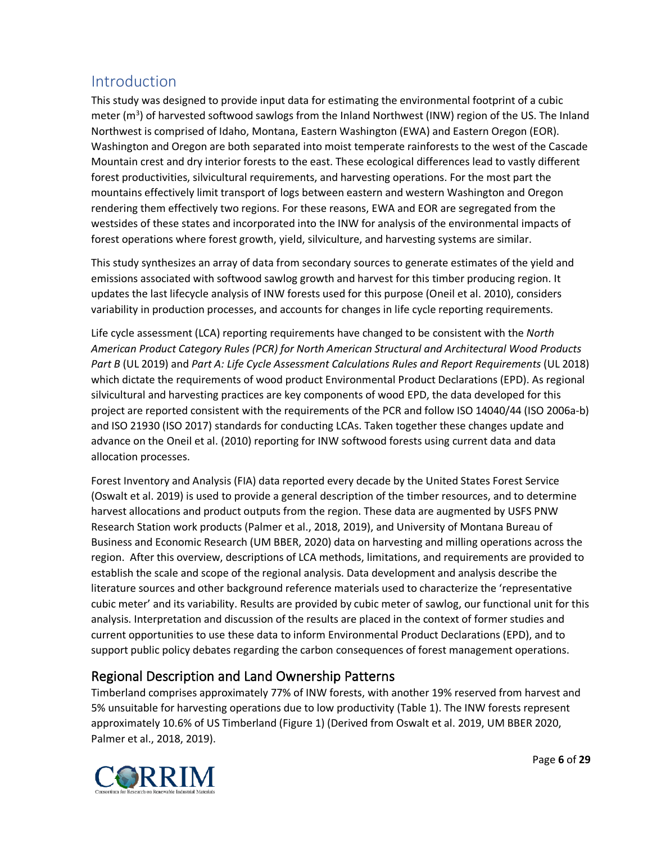# <span id="page-5-0"></span>Introduction

This study was designed to provide input data for estimating the environmental footprint of a cubic meter (m<sup>3</sup>) of harvested softwood sawlogs from the Inland Northwest (INW) region of the US. The Inland Northwest is comprised of Idaho, Montana, Eastern Washington (EWA) and Eastern Oregon (EOR). Washington and Oregon are both separated into moist temperate rainforests to the west of the Cascade Mountain crest and dry interior forests to the east. These ecological differences lead to vastly different forest productivities, silvicultural requirements, and harvesting operations. For the most part the mountains effectively limit transport of logs between eastern and western Washington and Oregon rendering them effectively two regions. For these reasons, EWA and EOR are segregated from the westsides of these states and incorporated into the INW for analysis of the environmental impacts of forest operations where forest growth, yield, silviculture, and harvesting systems are similar.

This study synthesizes an array of data from secondary sources to generate estimates of the yield and emissions associated with softwood sawlog growth and harvest for this timber producing region. It updates the last lifecycle analysis of INW forests used for this purpose (Oneil et al. 2010), considers variability in production processes, and accounts for changes in life cycle reporting requirements.

Life cycle assessment (LCA) reporting requirements have changed to be consistent with the *North American Product Category Rules (PCR) for North American Structural and Architectural Wood Products Part B* (UL 2019) and *Part A: Life Cycle Assessment Calculations Rules and Report Requirements* (UL 2018) which dictate the requirements of wood product Environmental Product Declarations (EPD). As regional silvicultural and harvesting practices are key components of wood EPD, the data developed for this project are reported consistent with the requirements of the PCR and follow ISO 14040/44 (ISO 2006a-b) and ISO 21930 (ISO 2017) standards for conducting LCAs. Taken together these changes update and advance on the Oneil et al. (2010) reporting for INW softwood forests using current data and data allocation processes.

Forest Inventory and Analysis (FIA) data reported every decade by the United States Forest Service (Oswalt et al. 2019) is used to provide a general description of the timber resources, and to determine harvest allocations and product outputs from the region. These data are augmented by USFS PNW Research Station work products (Palmer et al., 2018, 2019), and University of Montana Bureau of Business and Economic Research (UM BBER, 2020) data on harvesting and milling operations across the region. After this overview, descriptions of LCA methods, limitations, and requirements are provided to establish the scale and scope of the regional analysis. Data development and analysis describe the literature sources and other background reference materials used to characterize the 'representative cubic meter' and its variability. Results are provided by cubic meter of sawlog, our functional unit for this analysis. Interpretation and discussion of the results are placed in the context of former studies and current opportunities to use these data to inform Environmental Product Declarations (EPD), and to support public policy debates regarding the carbon consequences of forest management operations.

# <span id="page-5-1"></span>Regional Description and Land Ownership Patterns

Timberland comprises approximately 77% of INW forests, with another 19% reserved from harvest and 5% unsuitable for harvesting operations due to low productivity [\(Table 1\)](#page-6-0). The INW forests represent approximately 10.6% of US Timberland [\(Figure 1\)](#page-6-1) (Derived from Oswalt et al. 2019, UM BBER 2020, Palmer et al., 2018, 2019).

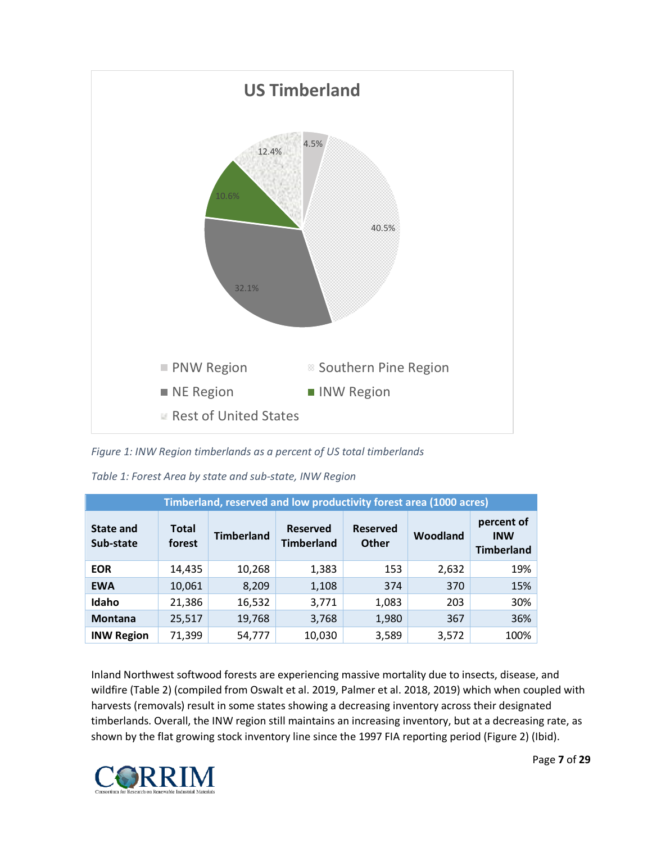

<span id="page-6-1"></span>*Figure 1: INW Region timberlands as a percent of US total timberlands* 

| Timberland, reserved and low productivity forest area (1000 acres) |                        |                   |                                      |                                 |          |                                               |  |  |
|--------------------------------------------------------------------|------------------------|-------------------|--------------------------------------|---------------------------------|----------|-----------------------------------------------|--|--|
| State and<br>Sub-state                                             | <b>Total</b><br>forest | <b>Timberland</b> | <b>Reserved</b><br><b>Timberland</b> | <b>Reserved</b><br><b>Other</b> | Woodland | percent of<br><b>INW</b><br><b>Timberland</b> |  |  |
| <b>EOR</b>                                                         | 14,435                 | 10,268            | 1,383                                | 153                             | 2,632    | 19%                                           |  |  |
| <b>EWA</b>                                                         | 10,061                 | 8,209             | 1,108                                | 374                             | 370      | 15%                                           |  |  |
| Idaho                                                              | 21,386                 | 16,532            | 3,771                                | 1,083                           | 203      | 30%                                           |  |  |
| <b>Montana</b>                                                     | 25,517                 | 19,768            | 3,768                                | 1,980                           | 367      | 36%                                           |  |  |
| <b>INW Region</b>                                                  | 71,399                 | 54,777            | 10,030                               | 3,589                           | 3,572    | 100%                                          |  |  |

<span id="page-6-0"></span>*Table 1: Forest Area by state and sub-state, INW Region*

Inland Northwest softwood forests are experiencing massive mortality due to insects, disease, and wildfire [\(Table 2\)](#page-7-0) (compiled from Oswalt et al. 2019, Palmer et al. 2018, 2019) which when coupled with harvests (removals) result in some states showing a decreasing inventory across their designated timberlands. Overall, the INW region still maintains an increasing inventory, but at a decreasing rate, as shown by the flat growing stock inventory line since the 1997 FIA reporting period [\(Figure 2\)](#page-8-2) (Ibid).

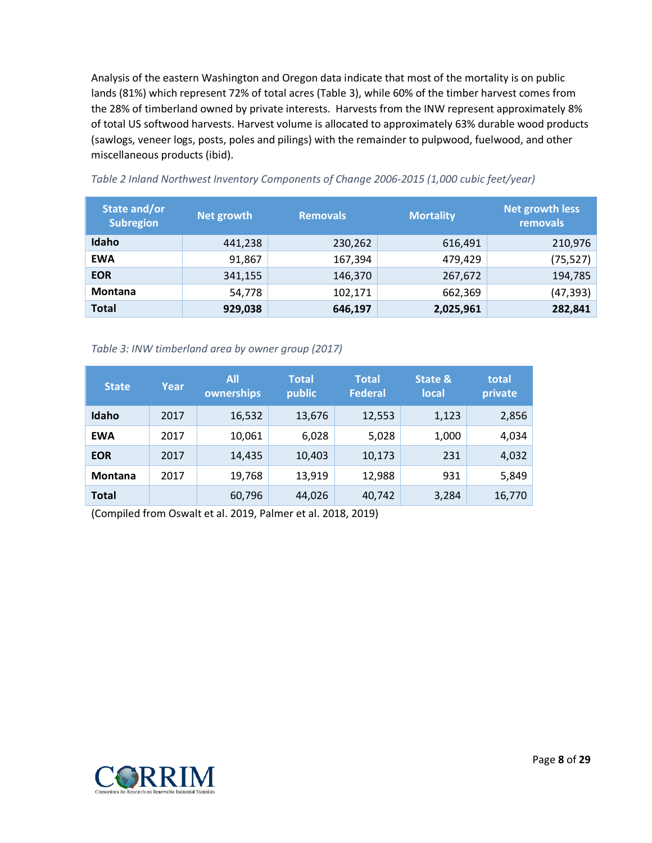Analysis of the eastern Washington and Oregon data indicate that most of the mortality is on public lands (81%) which represent 72% of total acres [\(Table 3\)](#page-7-1), while 60% of the timber harvest comes from the 28% of timberland owned by private interests. Harvests from the INW represent approximately 8% of total US softwood harvests. Harvest volume is allocated to approximately 63% durable wood products (sawlogs, veneer logs, posts, poles and pilings) with the remainder to pulpwood, fuelwood, and other miscellaneous products (ibid).

| State and/or<br><b>Subregion</b> | Net growth | <b>Removals</b> | <b>Mortality</b> | <b>Net growth less</b><br>removals |
|----------------------------------|------------|-----------------|------------------|------------------------------------|
| Idaho                            | 441,238    | 230,262         | 616,491          | 210,976                            |
| <b>EWA</b>                       | 91,867     | 167,394         | 479,429          | (75, 527)                          |
| <b>EOR</b>                       | 341,155    | 146,370         | 267,672          | 194,785                            |
| <b>Montana</b>                   | 54,778     | 102,171         | 662,369          | (47, 393)                          |
| <b>Total</b>                     | 929,038    | 646,197         | 2,025,961        | 282,841                            |

<span id="page-7-0"></span>*Table 2 Inland Northwest Inventory Components of Change 2006-2015 (1,000 cubic feet/year)*

<span id="page-7-1"></span>*Table 3: INW timberland area by owner group (2017)* 

| <b>State</b>   | Year | All<br>ownerships | <b>Total</b><br>public | <b>Total</b><br><b>Federal</b> | State &<br><b>local</b> | total<br>private |
|----------------|------|-------------------|------------------------|--------------------------------|-------------------------|------------------|
| Idaho          | 2017 | 16,532            | 13,676                 | 12,553                         | 1,123                   | 2,856            |
| <b>EWA</b>     | 2017 | 10,061            | 6,028                  | 5,028                          | 1,000                   | 4,034            |
| <b>EOR</b>     | 2017 | 14,435            | 10,403                 | 10,173                         | 231                     | 4,032            |
| <b>Montana</b> | 2017 | 19,768            | 13,919                 | 12,988                         | 931                     | 5,849            |
| <b>Total</b>   |      | 60,796            | 44,026                 | 40,742                         | 3,284                   | 16,770           |

(Compiled from Oswalt et al. 2019, Palmer et al. 2018, 2019)

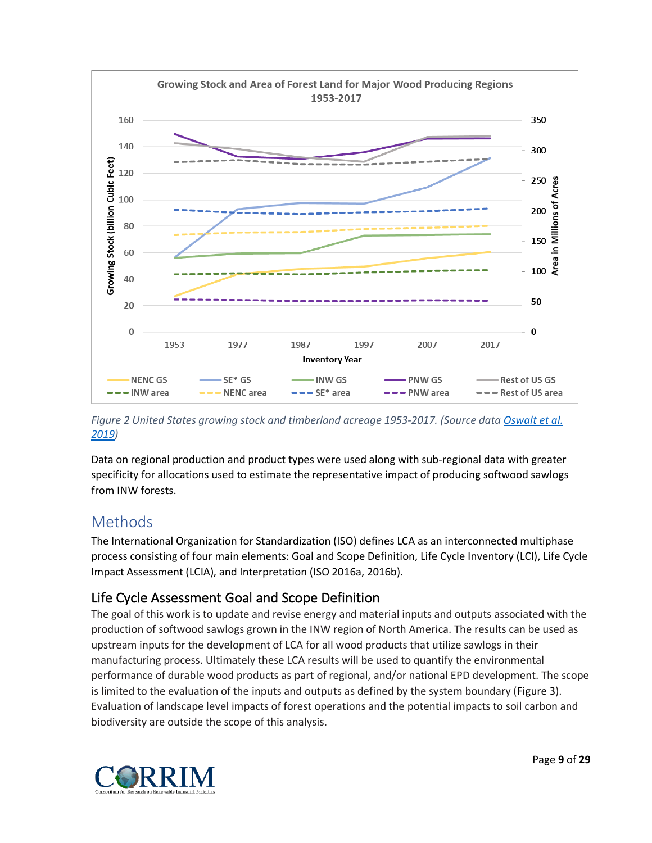

<span id="page-8-2"></span>*Figure 2 United States growing stock and timberland acreage 1953-2017. (Source data [Oswalt et al.](https://www.fs.usda.gov/treesearch/pubs/57903)  [2019\)](https://www.fs.usda.gov/treesearch/pubs/57903)*

Data on regional production and product types were used along with sub-regional data with greater specificity for allocations used to estimate the representative impact of producing softwood sawlogs from INW forests.

# <span id="page-8-0"></span>Methods

The International Organization for Standardization (ISO) defines LCA as an interconnected multiphase process consisting of four main elements: Goal and Scope Definition, Life Cycle Inventory (LCI), Life Cycle Impact Assessment (LCIA), and Interpretation (ISO 2016a, 2016b).

# <span id="page-8-1"></span>Life Cycle Assessment Goal and Scope Definition

The goal of this work is to update and revise energy and material inputs and outputs associated with the production of softwood sawlogs grown in the INW region of North America. The results can be used as upstream inputs for the development of LCA for all wood products that utilize sawlogs in their manufacturing process. Ultimately these LCA results will be used to quantify the environmental performance of durable wood products as part of regional, and/or national EPD development. The scope is limited to the evaluation of the inputs and outputs as defined by the system boundary [\(Figure 3\)](#page-9-1). Evaluation of landscape level impacts of forest operations and the potential impacts to soil carbon and biodiversity are outside the scope of this analysis.

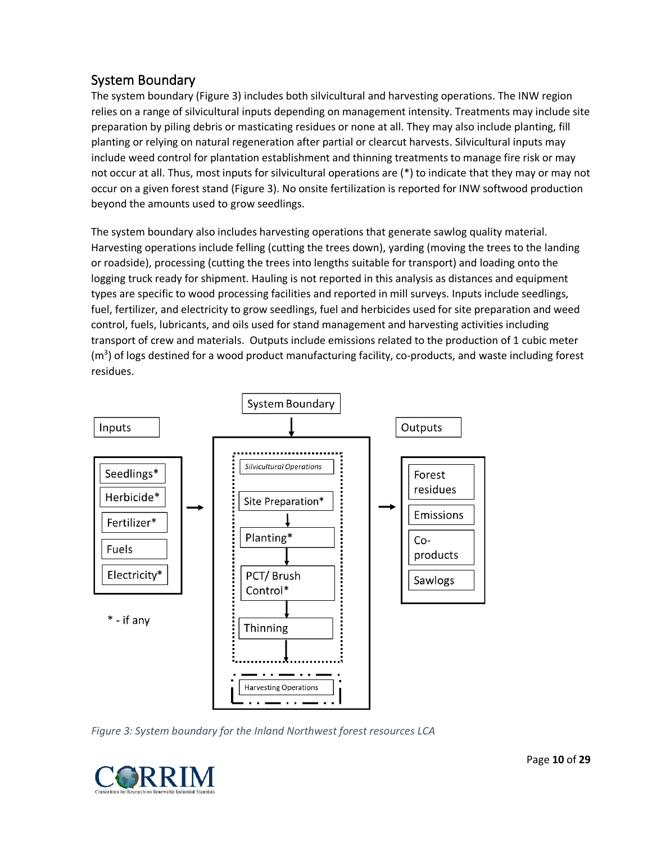# <span id="page-9-0"></span>System Boundary

The system boundary [\(Figure 3\)](#page-9-1) includes both silvicultural and harvesting operations. The INW region relies on a range of silvicultural inputs depending on management intensity. Treatments may include site preparation by piling debris or masticating residues or none at all. They may also include planting, fill planting or relying on natural regeneration after partial or clearcut harvests. Silvicultural inputs may include weed control for plantation establishment and thinning treatments to manage fire risk or may not occur at all. Thus, most inputs for silvicultural operations are (\*) to indicate that they may or may not occur on a given forest stand [\(Figure 3\)](#page-9-1). No onsite fertilization is reported for INW softwood production beyond the amounts used to grow seedlings.

The system boundary also includes harvesting operations that generate sawlog quality material. Harvesting operations include felling (cutting the trees down), yarding (moving the trees to the landing or roadside), processing (cutting the trees into lengths suitable for transport) and loading onto the logging truck ready for shipment. Hauling is not reported in this analysis as distances and equipment types are specific to wood processing facilities and reported in mill surveys. Inputs include seedlings, fuel, fertilizer, and electricity to grow seedlings, fuel and herbicides used for site preparation and weed control, fuels, lubricants, and oils used for stand management and harvesting activities including transport of crew and materials. Outputs include emissions related to the production of 1 cubic meter (m<sup>3</sup>) of logs destined for a wood product manufacturing facility, co-products, and waste including forest residues.



<span id="page-9-1"></span>*Figure 3: System boundary for the Inland Northwest forest resources LCA*

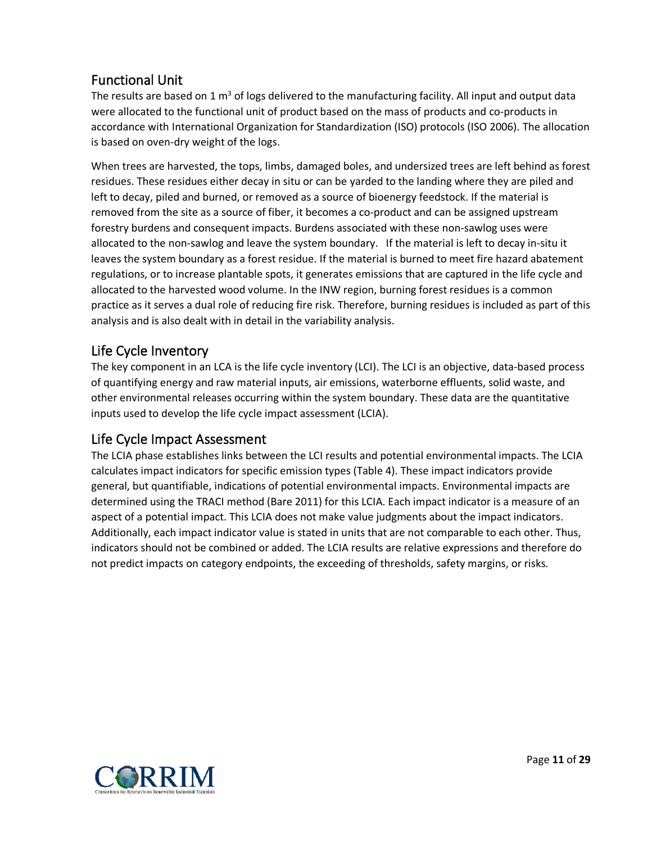# <span id="page-10-0"></span>Functional Unit

The results are based on 1  $m<sup>3</sup>$  of logs delivered to the manufacturing facility. All input and output data were allocated to the functional unit of product based on the mass of products and co-products in accordance with International Organization for Standardization (ISO) protocols (ISO 2006). The allocation is based on oven-dry weight of the logs.

When trees are harvested, the tops, limbs, damaged boles, and undersized trees are left behind as forest residues. These residues either decay in situ or can be yarded to the landing where they are piled and left to decay, piled and burned, or removed as a source of bioenergy feedstock. If the material is removed from the site as a source of fiber, it becomes a co-product and can be assigned upstream forestry burdens and consequent impacts. Burdens associated with these non-sawlog uses were allocated to the non-sawlog and leave the system boundary. If the material is left to decay in-situ it leaves the system boundary as a forest residue. If the material is burned to meet fire hazard abatement regulations, or to increase plantable spots, it generates emissions that are captured in the life cycle and allocated to the harvested wood volume. In the INW region, burning forest residues is a common practice as it serves a dual role of reducing fire risk. Therefore, burning residues is included as part of this analysis and is also dealt with in detail in the variability analysis.

### <span id="page-10-1"></span>Life Cycle Inventory

The key component in an LCA is the life cycle inventory (LCI). The LCI is an objective, data-based process of quantifying energy and raw material inputs, air emissions, waterborne effluents, solid waste, and other environmental releases occurring within the system boundary. These data are the quantitative inputs used to develop the life cycle impact assessment (LCIA).

### <span id="page-10-2"></span>Life Cycle Impact Assessment

<span id="page-10-3"></span>The LCIA phase establishes links between the LCI results and potential environmental impacts. The LCIA calculates impact indicators for specific emission types [\(Table 4\)](#page-10-3). These impact indicators provide general, but quantifiable, indications of potential environmental impacts. Environmental impacts are determined using the TRACI method (Bare 2011) for this LCIA. Each impact indicator is a measure of an aspect of a potential impact. This LCIA does not make value judgments about the impact indicators. Additionally, each impact indicator value is stated in units that are not comparable to each other. Thus, indicators should not be combined or added. The LCIA results are relative expressions and therefore do not predict impacts on category endpoints, the exceeding of thresholds, safety margins, or risks.

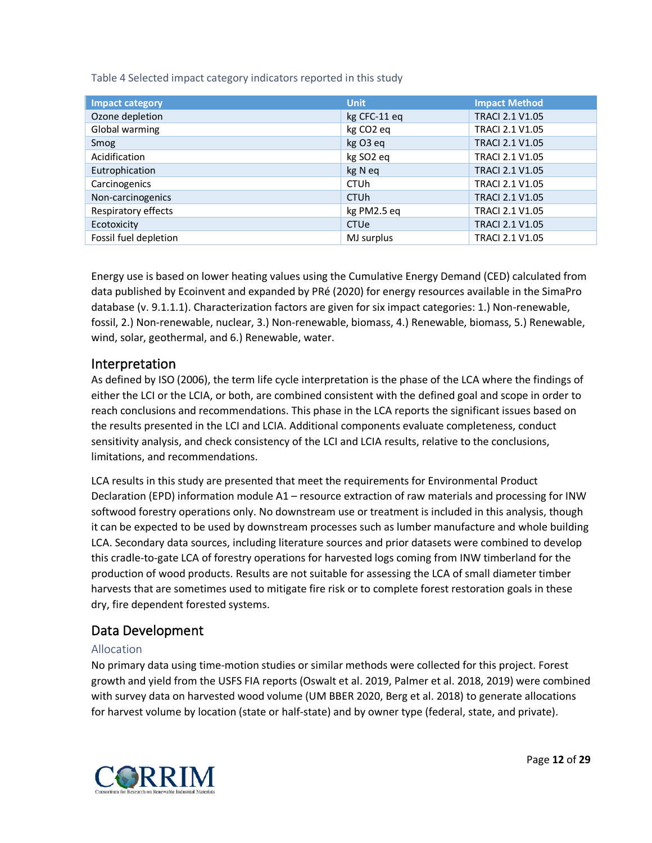<span id="page-11-3"></span>Table 4 Selected impact category indicators reported in this study

| Impact category       | <b>Unit</b>            | <b>Impact Method</b>   |
|-----------------------|------------------------|------------------------|
| Ozone depletion       | kg CFC-11 eq           | <b>TRACI 2.1 V1.05</b> |
| Global warming        | kg CO <sub>2</sub> eq  | <b>TRACI 2.1 V1.05</b> |
| Smog                  | kg O3 eq               | <b>TRACI 2.1 V1.05</b> |
| Acidification         | kg SO <sub>2</sub> eq  | <b>TRACI 2.1 V1.05</b> |
| Eutrophication        | kg N eq                | <b>TRACI 2.1 V1.05</b> |
| Carcinogenics         | <b>CTUh</b>            | TRACI 2.1 V1.05        |
| Non-carcinogenics     | <b>CTU<sub>h</sub></b> | <b>TRACI 2.1 V1.05</b> |
| Respiratory effects   | kg PM2.5 eq            | <b>TRACI 2.1 V1.05</b> |
| Ecotoxicity           | <b>CTUe</b>            | <b>TRACI 2.1 V1.05</b> |
| Fossil fuel depletion | MJ surplus             | <b>TRACI 2.1 V1.05</b> |

Energy use is based on lower heating values using the Cumulative Energy Demand (CED) calculated from data published by Ecoinvent and expanded by PRé (2020) for energy resources available in the SimaPro database (v. 9.1.1.1). Characterization factors are given for six impact categories: 1.) Non-renewable, fossil, 2.) Non-renewable, nuclear, 3.) Non-renewable, biomass, 4.) Renewable, biomass, 5.) Renewable, wind, solar, geothermal, and 6.) Renewable, water.

#### <span id="page-11-0"></span>Interpretation

As defined by ISO (2006), the term life cycle interpretation is the phase of the LCA where the findings of either the LCI or the LCIA, or both, are combined consistent with the defined goal and scope in order to reach conclusions and recommendations. This phase in the LCA reports the significant issues based on the results presented in the LCI and LCIA. Additional components evaluate completeness, conduct sensitivity analysis, and check consistency of the LCI and LCIA results, relative to the conclusions, limitations, and recommendations.

LCA results in this study are presented that meet the requirements for Environmental Product Declaration (EPD) information module A1 – resource extraction of raw materials and processing for INW softwood forestry operations only. No downstream use or treatment is included in this analysis, though it can be expected to be used by downstream processes such as lumber manufacture and whole building LCA. Secondary data sources, including literature sources and prior datasets were combined to develop this cradle-to-gate LCA of forestry operations for harvested logs coming from INW timberland for the production of wood products. Results are not suitable for assessing the LCA of small diameter timber harvests that are sometimes used to mitigate fire risk or to complete forest restoration goals in these dry, fire dependent forested systems.

### <span id="page-11-1"></span>Data Development

#### <span id="page-11-2"></span>Allocation

No primary data using time-motion studies or similar methods were collected for this project. Forest growth and yield from the USFS FIA reports (Oswalt et al. 2019, Palmer et al. 2018, 2019) were combined with survey data on harvested wood volume (UM BBER 2020, Berg et al. 2018) to generate allocations for harvest volume by location (state or half-state) and by owner type (federal, state, and private).

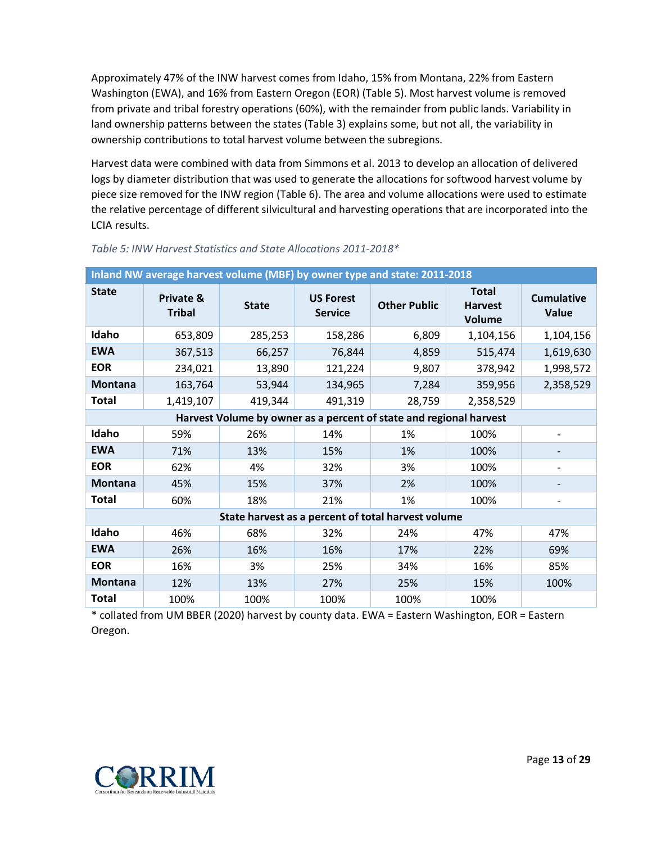Approximately 47% of the INW harvest comes from Idaho, 15% from Montana, 22% from Eastern Washington (EWA), and 16% from Eastern Oregon (EOR) [\(Table](#page-12-0) 5). Most harvest volume is removed from private and tribal forestry operations (60%), with the remainder from public lands. Variability in land ownership patterns between the states [\(Table 3\)](#page-7-1) explains some, but not all, the variability in ownership contributions to total harvest volume between the subregions.

Harvest data were combined with data from Simmons et al. 2013 to develop an allocation of delivered logs by diameter distribution that was used to generate the allocations for softwood harvest volume by piece size removed for the INW region [\(Table 6\)](#page-12-1). The area and volume allocations were used to estimate the relative percentage of different silvicultural and harvesting operations that are incorporated into the LCIA results.

| Inland NW average harvest volume (MBF) by owner type and state: 2011-2018 |                                       |              |                                    |                                                                    |                                          |                            |
|---------------------------------------------------------------------------|---------------------------------------|--------------|------------------------------------|--------------------------------------------------------------------|------------------------------------------|----------------------------|
| <b>State</b>                                                              | <b>Private &amp;</b><br><b>Tribal</b> | <b>State</b> | <b>US Forest</b><br><b>Service</b> | <b>Other Public</b>                                                | <b>Total</b><br><b>Harvest</b><br>Volume | <b>Cumulative</b><br>Value |
| Idaho                                                                     | 653,809                               | 285,253      | 158,286                            | 6,809                                                              | 1,104,156                                | 1,104,156                  |
| <b>EWA</b>                                                                | 367,513                               | 66,257       | 76,844                             | 4,859                                                              | 515,474                                  | 1,619,630                  |
| <b>EOR</b>                                                                | 234,021                               | 13,890       | 121,224                            | 9,807                                                              | 378,942                                  | 1,998,572                  |
| <b>Montana</b>                                                            | 163,764                               | 53,944       | 134,965                            | 7,284                                                              | 359,956                                  | 2,358,529                  |
| <b>Total</b>                                                              | 1,419,107                             | 419,344      | 491,319                            | 28,759                                                             | 2,358,529                                |                            |
|                                                                           |                                       |              |                                    | Harvest Volume by owner as a percent of state and regional harvest |                                          |                            |
| Idaho                                                                     | 59%                                   | 26%          | 14%                                | 1%                                                                 | 100%                                     |                            |
| <b>EWA</b>                                                                | 71%                                   | 13%          | 15%                                | 1%                                                                 | 100%                                     |                            |
| <b>EOR</b>                                                                | 62%                                   | 4%           | 32%                                | 3%                                                                 | 100%                                     |                            |
| <b>Montana</b>                                                            | 45%                                   | 15%          | 37%                                | 2%                                                                 | 100%                                     |                            |
| <b>Total</b>                                                              | 60%                                   | 18%          | 21%                                | 1%                                                                 | 100%                                     |                            |
|                                                                           |                                       |              |                                    | State harvest as a percent of total harvest volume                 |                                          |                            |
| Idaho                                                                     | 46%                                   | 68%          | 32%                                | 24%                                                                | 47%                                      | 47%                        |
| <b>EWA</b>                                                                | 26%                                   | 16%          | 16%                                | 17%                                                                | 22%                                      | 69%                        |
| <b>EOR</b>                                                                | 16%                                   | 3%           | 25%                                | 34%                                                                | 16%                                      | 85%                        |
| <b>Montana</b>                                                            | 12%                                   | 13%          | 27%                                | 25%                                                                | 15%                                      | 100%                       |
| <b>Total</b>                                                              | 100%                                  | 100%         | 100%                               | 100%                                                               | 100%                                     |                            |

#### <span id="page-12-0"></span>*Table 5: INW Harvest Statistics and State Allocations 2011-2018\**

<span id="page-12-1"></span>\* collated from UM BBER (2020) harvest by county data. EWA = Eastern Washington, EOR = Eastern Oregon.

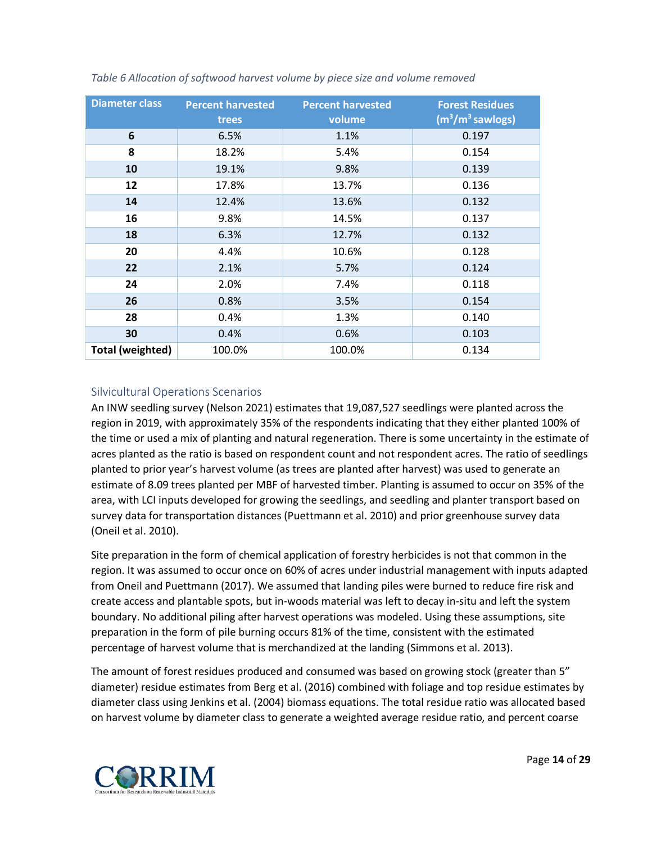| <b>Diameter class</b>   | <b>Percent harvested</b><br>trees | <b>Percent harvested</b><br>volume | <b>Forest Residues</b><br>$(m3/m3$ sawlogs) |
|-------------------------|-----------------------------------|------------------------------------|---------------------------------------------|
| 6                       | 6.5%                              | 1.1%                               | 0.197                                       |
| 8                       | 18.2%                             | 5.4%                               | 0.154                                       |
| 10                      | 19.1%                             | 9.8%                               | 0.139                                       |
| 12                      | 17.8%                             | 13.7%                              | 0.136                                       |
| 14                      | 12.4%                             | 13.6%                              | 0.132                                       |
| 16                      | 9.8%                              | 14.5%                              | 0.137                                       |
| 18                      | 6.3%                              | 12.7%                              | 0.132                                       |
| 20                      | 4.4%                              | 10.6%                              | 0.128                                       |
| 22                      | 2.1%                              | 5.7%                               | 0.124                                       |
| 24                      | 2.0%                              | 7.4%                               | 0.118                                       |
| 26                      | 0.8%                              | 3.5%                               | 0.154                                       |
| 28                      | 0.4%                              | 1.3%                               | 0.140                                       |
| 30                      | 0.4%                              | 0.6%                               | 0.103                                       |
| <b>Total (weighted)</b> | 100.0%                            | 100.0%                             | 0.134                                       |

<span id="page-13-1"></span>*Table 6 Allocation of softwood harvest volume by piece size and volume removed*

#### <span id="page-13-0"></span>Silvicultural Operations Scenarios

An INW seedling survey (Nelson 2021) estimates that 19,087,527 seedlings were planted across the region in 2019, with approximately 35% of the respondents indicating that they either planted 100% of the time or used a mix of planting and natural regeneration. There is some uncertainty in the estimate of acres planted as the ratio is based on respondent count and not respondent acres. The ratio of seedlings planted to prior year's harvest volume (as trees are planted after harvest) was used to generate an estimate of 8.09 trees planted per MBF of harvested timber. Planting is assumed to occur on 35% of the area, with LCI inputs developed for growing the seedlings, and seedling and planter transport based on survey data for transportation distances (Puettmann et al. 2010) and prior greenhouse survey data (Oneil et al. 2010).

Site preparation in the form of chemical application of forestry herbicides is not that common in the region. It was assumed to occur once on 60% of acres under industrial management with inputs adapted from Oneil and Puettmann (2017). We assumed that landing piles were burned to reduce fire risk and create access and plantable spots, but in-woods material was left to decay in-situ and left the system boundary. No additional piling after harvest operations was modeled. Using these assumptions, site preparation in the form of pile burning occurs 81% of the time, consistent with the estimated percentage of harvest volume that is merchandized at the landing (Simmons et al. 2013).

The amount of forest residues produced and consumed was based on growing stock (greater than 5" diameter) residue estimates from Berg et al. (2016) combined with foliage and top residue estimates by diameter class using Jenkins et al. (2004) biomass equations. The total residue ratio was allocated based on harvest volume by diameter class to generate a weighted average residue ratio, and percent coarse

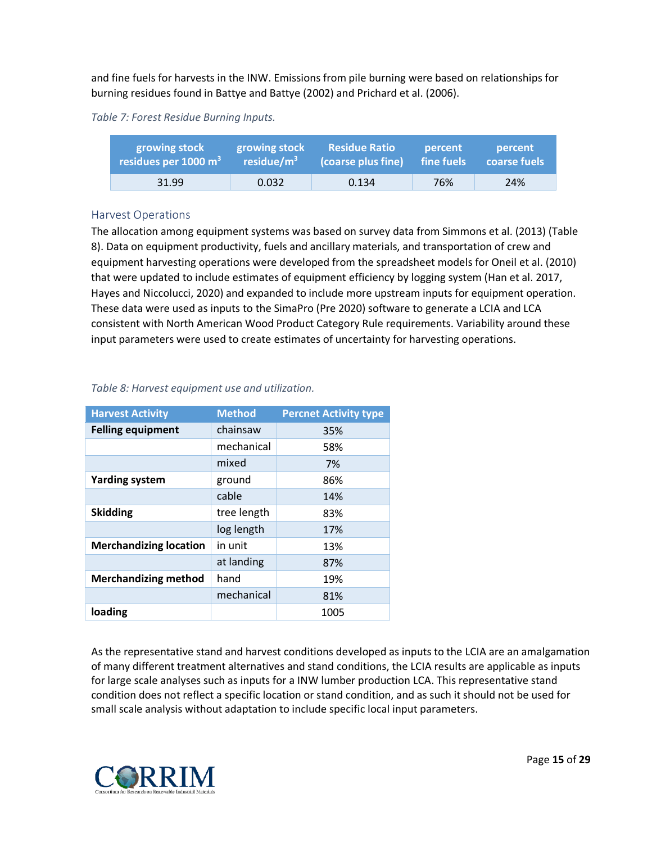and fine fuels for harvests in the INW. Emissions from pile burning were based on relationships for burning residues found in Battye and Battye (2002) and Prichard et al. (2006).

#### <span id="page-14-1"></span>*Table 7: Forest Residue Burning Inputs.*

| growing stock          | growing stock  | <b>Residue Ratio</b> | percent    | percent      |
|------------------------|----------------|----------------------|------------|--------------|
| residues per 1000 $m3$ | residue/ $m^3$ | (coarse plus fine)   | fine fuels | coarse fuels |
| 31.99                  | 0.032          | 0.134                | 76%        | 24%          |

#### <span id="page-14-0"></span>Harvest Operations

The allocation among equipment systems was based on survey data from Simmons et al. (2013) [\(Table](#page-14-3)  [8\)](#page-14-3). Data on equipment productivity, fuels and ancillary materials, and transportation of crew and equipment harvesting operations were developed from the spreadsheet models for Oneil et al. (2010) that were updated to include estimates of equipment efficiency by logging system (Han et al. 2017, Hayes and Niccolucci, 2020) and expanded to include more upstream inputs for equipment operation. These data were used as inputs to the SimaPro (Pre 2020) software to generate a LCIA and LCA consistent with North American Wood Product Category Rule requirements. Variability around these input parameters were used to create estimates of uncertainty for harvesting operations.

| <b>Harvest Activity</b>       | <b>Method</b> | <b>Percnet Activity type</b> |
|-------------------------------|---------------|------------------------------|
| <b>Felling equipment</b>      | chainsaw      | 35%                          |
|                               | mechanical    | 58%                          |
|                               | mixed         | 7%                           |
| <b>Yarding system</b>         | ground        | 86%                          |
|                               | cable         | 14%                          |
| <b>Skidding</b>               | tree length   | 83%                          |
|                               | log length    | 17%                          |
| <b>Merchandizing location</b> | in unit       | 13%                          |
|                               | at landing    | 87%                          |
| <b>Merchandizing method</b>   | hand          | 19%                          |
|                               | mechanical    | 81%                          |
| loading                       |               | 1005                         |

#### <span id="page-14-3"></span><span id="page-14-2"></span>*Table 8: Harvest equipment use and utilization.*

As the representative stand and harvest conditions developed as inputs to the LCIA are an amalgamation of many different treatment alternatives and stand conditions, the LCIA results are applicable as inputs for large scale analyses such as inputs for a INW lumber production LCA. This representative stand condition does not reflect a specific location or stand condition, and as such it should not be used for small scale analysis without adaptation to include specific local input parameters.

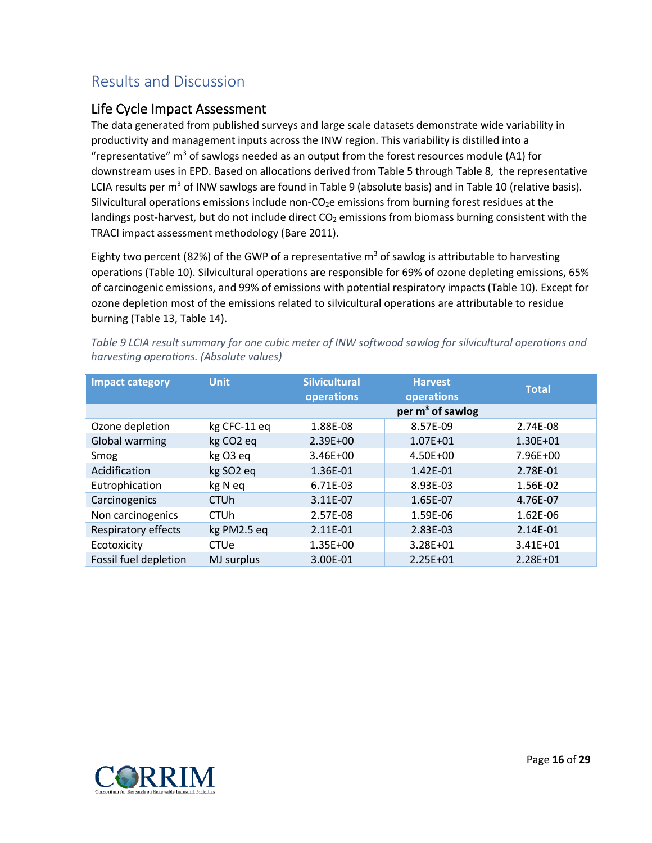# <span id="page-15-0"></span>Results and Discussion

### <span id="page-15-1"></span>Life Cycle Impact Assessment

The data generated from published surveys and large scale datasets demonstrate wide variability in productivity and management inputs across the INW region. This variability is distilled into a "representative"  $m<sup>3</sup>$  of sawlogs needed as an output from the forest resources module (A1) for downstream uses in EPD. Based on allocations derived from [Table 5](#page-12-0) through [Table 8,](#page-14-3) the representative LCIA results per m<sup>3</sup> of INW sawlogs are found in [Table 9](#page-15-2) (absolute basis) and in [Table 10](#page-15-3) (relative basis). Silvicultural operations emissions include non- $CO<sub>2</sub>e$  emissions from burning forest residues at the landings post-harvest, but do not include direct  $CO<sub>2</sub>$  emissions from biomass burning consistent with the TRACI impact assessment methodology (Bare 2011).

Eighty two percent (82%) of the GWP of a representative  $m<sup>3</sup>$  of sawlog is attributable to harvesting operations [\(Table 10\)](#page-15-3). Silvicultural operations are responsible for 69% of ozone depleting emissions, 65% of carcinogenic emissions, and 99% of emissions with potential respiratory impacts [\(Table 10\)](#page-15-3). Except for ozone depletion most of the emissions related to silvicultural operations are attributable to residue burning [\(Table 13,](#page-17-2) [Table 14\)](#page-18-1).

| <b>Impact category</b> | <b>Unit</b>            | <b>Silvicultural</b><br><b>Harvest</b><br>operations<br>operations |                     | <b>Total</b> |
|------------------------|------------------------|--------------------------------------------------------------------|---------------------|--------------|
|                        |                        |                                                                    | per $m^3$ of sawlog |              |
| Ozone depletion        | kg CFC-11 eq           | 1.88E-08                                                           | 8.57E-09            | 2.74E-08     |
| Global warming         | kg CO <sub>2</sub> eq  | 2.39E+00                                                           | $1.07E + 01$        | $1.30E + 01$ |
| Smog                   | kg O3 eq               | 3.46E+00                                                           | 4.50E+00            | 7.96E+00     |
| Acidification          | kg SO <sub>2</sub> eq  | 1.36E-01                                                           | 1.42E-01            | 2.78E-01     |
| Eutrophication         | kg N eq                | 6.71E-03                                                           | 8.93E-03            | 1.56E-02     |
| Carcinogenics          | <b>CTU<sub>h</sub></b> | 3.11E-07                                                           | 1.65E-07            | 4.76E-07     |
| Non carcinogenics      | <b>CTU<sub>h</sub></b> | 2.57E-08                                                           | 1.59E-06            | 1.62E-06     |
| Respiratory effects    | kg PM2.5 eq            | 2.11E-01                                                           | 2.83E-03            | 2.14E-01     |
| Ecotoxicity            | CTUe                   | 1.35E+00                                                           | 3.28E+01            | 3.41E+01     |
| Fossil fuel depletion  | MJ surplus             | 3.00E-01                                                           | $2.25E + 01$        | 2.28E+01     |

<span id="page-15-2"></span>*Table 9 LCIA result summary for one cubic meter of INW softwood sawlog for silvicultural operations and harvesting operations. (Absolute values)*

<span id="page-15-3"></span>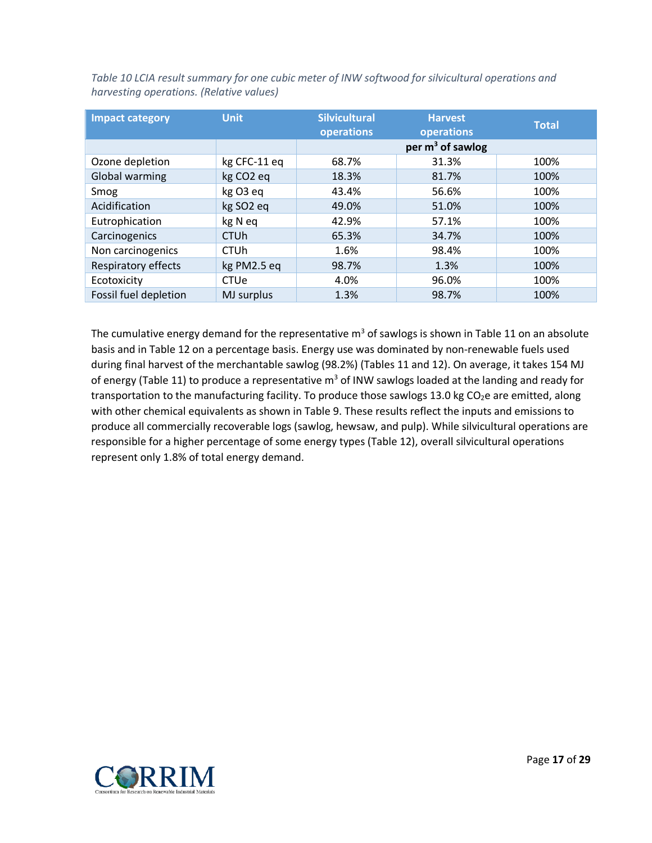| <b>Impact category</b> | Unit,                 | <b>Silvicultural</b><br>operations | <b>Harvest</b><br>operations | <b>Total</b> |
|------------------------|-----------------------|------------------------------------|------------------------------|--------------|
|                        |                       |                                    | per $m^3$ of sawlog          |              |
| Ozone depletion        | kg CFC-11 eq          | 68.7%                              | 31.3%                        | 100%         |
| Global warming         | kg CO <sub>2</sub> eq | 18.3%                              | 81.7%                        | 100%         |
| Smog                   | kg O3 eq              | 43.4%                              | 56.6%                        | 100%         |
| Acidification          | kg SO <sub>2</sub> eq | 49.0%                              | 51.0%                        | 100%         |
| Eutrophication         | kg N eq               | 42.9%                              | 57.1%                        | 100%         |
| Carcinogenics          | <b>CTUh</b>           | 65.3%                              | 34.7%                        | 100%         |
| Non carcinogenics      | <b>CTUh</b>           | 1.6%                               | 98.4%                        | 100%         |
| Respiratory effects    | kg PM2.5 eq           | 98.7%                              | 1.3%                         | 100%         |
| Ecotoxicity            | CTUe                  | 4.0%                               | 96.0%                        | 100%         |
| Fossil fuel depletion  | MJ surplus            | 1.3%                               | 98.7%                        | 100%         |

<span id="page-16-0"></span>*Table 10 LCIA result summary for one cubic meter of INW softwood for silvicultural operations and harvesting operations. (Relative values)*

<span id="page-16-1"></span>The cumulative energy demand for the representative  $m<sup>3</sup>$  of sawlogs is shown i[n Table 11](#page-16-1) on an absolute basis and in [Table 12](#page-17-1) on a percentage basis. Energy use was dominated by non-renewable fuels used during final harvest of the merchantable sawlog (98.2%) (Tables 11 and 12). On average, it takes 154 MJ of energy [\(Table 11\)](#page-16-1) to produce a representative  $m<sup>3</sup>$  of INW sawlogs loaded at the landing and ready for transportation to the manufacturing facility. To produce those sawlogs 13.0 kg CO<sub>2</sub>e are emitted, along with other chemical equivalents as shown in [Table 9.](#page-15-2) These results reflect the inputs and emissions to produce all commercially recoverable logs (sawlog, hewsaw, and pulp). While silvicultural operations are responsible for a higher percentage of some energy types [\(Table 12\)](#page-17-1), overall silvicultural operations represent only 1.8% of total energy demand.

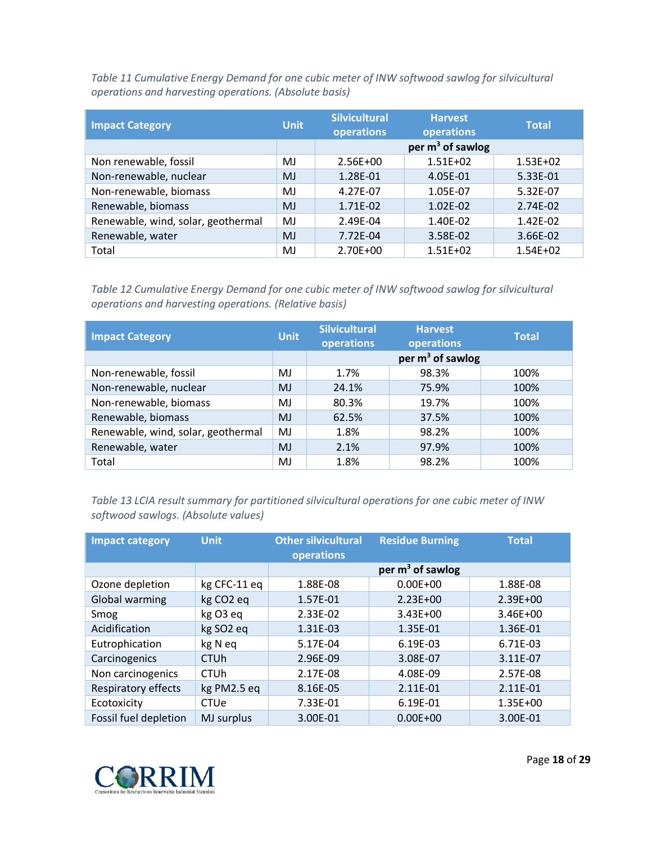<span id="page-17-0"></span>*Table 11 Cumulative Energy Demand for one cubic meter of INW softwood sawlog for silvicultural operations and harvesting operations. (Absolute basis)*

| <b>Impact Category</b>             | <b>Unit</b> | <b>Silvicultural</b><br>operations | <b>Harvest</b><br>operations | <b>Total</b> |
|------------------------------------|-------------|------------------------------------|------------------------------|--------------|
|                                    |             |                                    | per $m^3$ of sawlog          |              |
| Non renewable, fossil              | MJ          | $2.56E + 00$                       | $1.51E + 02$                 | $1.53E + 02$ |
| Non-renewable, nuclear             | MJ          | 1.28E-01                           | 4.05E-01                     | 5.33E-01     |
| Non-renewable, biomass             | MJ          | 4.27E-07                           | 1.05E-07                     | 5.32E-07     |
| Renewable, biomass                 | MJ          | 1.71E-02                           | 1.02E-02                     | 2.74E-02     |
| Renewable, wind, solar, geothermal | MJ          | 2.49E-04                           | 1.40E-02                     | 1.42E-02     |
| Renewable, water                   | <b>MJ</b>   | 7.72E-04                           | 3.58E-02                     | 3.66E-02     |
| Total                              | MJ          | $2.70E + 00$                       | $1.51E + 02$                 | $1.54E + 02$ |

<span id="page-17-1"></span>*Table 12 Cumulative Energy Demand for one cubic meter of INW softwood sawlog for silvicultural operations and harvesting operations. (Relative basis)*

| <b>Impact Category</b>             | <b>Unit</b> | <b>Silvicultural</b><br>operations | <b>Harvest</b><br><b>operations</b> | <b>Total</b> |
|------------------------------------|-------------|------------------------------------|-------------------------------------|--------------|
|                                    |             |                                    | per $m^3$ of sawlog                 |              |
| Non-renewable, fossil              | MJ          | 1.7%                               | 98.3%                               | 100%         |
| Non-renewable, nuclear             | <b>MJ</b>   | 24.1%                              | 75.9%                               | 100%         |
| Non-renewable, biomass             | MJ          | 80.3%                              | 19.7%                               | 100%         |
| Renewable, biomass                 | <b>MJ</b>   | 62.5%                              | 37.5%                               | 100%         |
| Renewable, wind, solar, geothermal | MJ          | 1.8%                               | 98.2%                               | 100%         |
| Renewable, water                   | MJ          | 2.1%                               | 97.9%                               | 100%         |
| Total                              | MJ          | 1.8%                               | 98.2%                               | 100%         |

<span id="page-17-2"></span>*Table 13 LCIA result summary for partitioned silvicultural operations for one cubic meter of INW softwood sawlogs. (Absolute values)*

| <b>Impact category</b> | <b>Unit</b>           | <b>Other silvicultural</b><br>operations | <b>Residue Burning</b> | <b>Total</b> |
|------------------------|-----------------------|------------------------------------------|------------------------|--------------|
|                        |                       |                                          | per $m3$ of sawlog     |              |
| Ozone depletion        | kg CFC-11 eq          | 1.88E-08                                 | $0.00E + 00$           | 1.88E-08     |
| <b>Global warming</b>  | kg CO <sub>2</sub> eq | 1.57E-01                                 | $2.23E + 00$           | 2.39E+00     |
| Smog                   | kg O3 eq              | 2.33E-02                                 | $3.43E + 00$           | $3.46E + 00$ |
| Acidification          | kg SO <sub>2</sub> eq | 1.31E-03                                 | 1.35E-01               | 1.36E-01     |
| Eutrophication         | kg N eq               | 5.17E-04                                 | 6.19E-03               | 6.71E-03     |
| Carcinogenics          | <b>CTUh</b>           | 2.96E-09                                 | 3.08E-07               | 3.11E-07     |
| Non carcinogenics      | <b>CTUh</b>           | 2.17E-08                                 | 4.08E-09               | 2.57E-08     |
| Respiratory effects    | kg PM2.5 eq           | 8.16E-05                                 | 2.11E-01               | 2.11E-01     |
| Ecotoxicity            | CTUe                  | 7.33E-01                                 | 6.19E-01               | 1.35E+00     |
| Fossil fuel depletion  | MJ surplus            | 3.00E-01                                 | $0.00E + 00$           | 3.00E-01     |

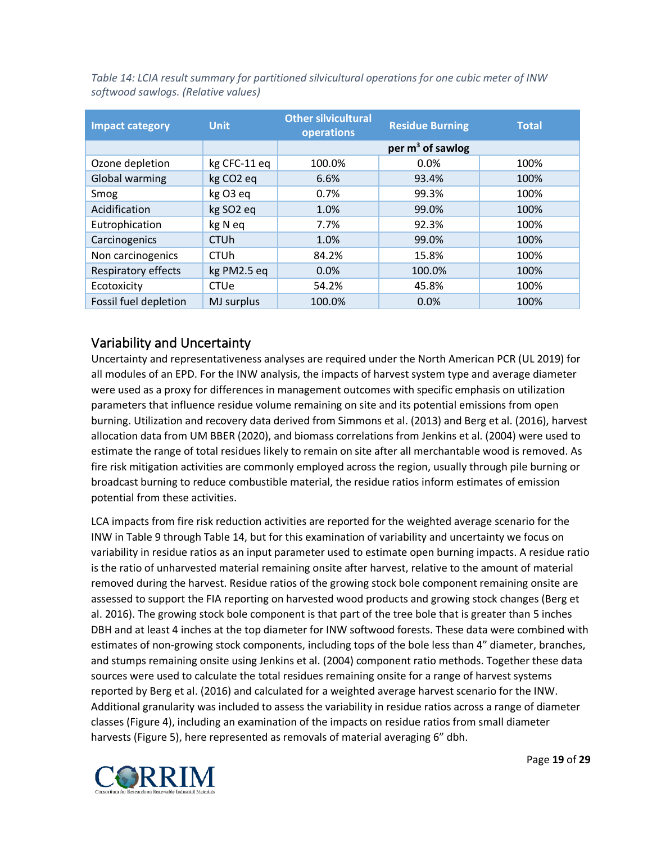| <b>Impact category</b> | <b>Unit</b>            | <b>Other silvicultural</b><br>operations | <b>Residue Burning</b> | <b>Total</b> |
|------------------------|------------------------|------------------------------------------|------------------------|--------------|
|                        |                        |                                          | per $m^3$ of sawlog    |              |
| Ozone depletion        | kg CFC-11 eq           | 100.0%                                   | $0.0\%$                | 100%         |
| <b>Global warming</b>  | kg CO <sub>2</sub> eq  | 6.6%                                     | 93.4%                  | 100%         |
| Smog                   | kg O3 eq               | 0.7%                                     | 99.3%                  | 100%         |
| Acidification          | kg SO <sub>2</sub> eq  | 1.0%                                     | 99.0%                  | 100%         |
| Eutrophication         | kg N eq                | 7.7%                                     | 92.3%                  | 100%         |
| Carcinogenics          | <b>CTU<sub>h</sub></b> | 1.0%                                     | 99.0%                  | 100%         |
| Non carcinogenics      | <b>CTU<sub>h</sub></b> | 84.2%                                    | 15.8%                  | 100%         |
| Respiratory effects    | kg PM2.5 eq            | 0.0%                                     | 100.0%                 | 100%         |
| Ecotoxicity            | CTUe                   | 54.2%                                    | 45.8%                  | 100%         |
| Fossil fuel depletion  | MJ surplus             | 100.0%                                   | 0.0%                   | 100%         |

<span id="page-18-1"></span>*Table 14: LCIA result summary for partitioned silvicultural operations for one cubic meter of INW softwood sawlogs. (Relative values)*

### <span id="page-18-0"></span>Variability and Uncertainty

Uncertainty and representativeness analyses are required under the North American PCR (UL 2019) for all modules of an EPD. For the INW analysis, the impacts of harvest system type and average diameter were used as a proxy for differences in management outcomes with specific emphasis on utilization parameters that influence residue volume remaining on site and its potential emissions from open burning. Utilization and recovery data derived from Simmons et al. (2013) and Berg et al. (2016), harvest allocation data from UM BBER (2020), and biomass correlations from Jenkins et al. (2004) were used to estimate the range of total residues likely to remain on site after all merchantable wood is removed. As fire risk mitigation activities are commonly employed across the region, usually through pile burning or broadcast burning to reduce combustible material, the residue ratios inform estimates of emission potential from these activities.

LCA impacts from fire risk reduction activities are reported for the weighted average scenario for the INW i[n Table 9](#page-15-2) through [Table 14,](#page-18-1) but for this examination of variability and uncertainty we focus on variability in residue ratios as an input parameter used to estimate open burning impacts. A residue ratio is the ratio of unharvested material remaining onsite after harvest, relative to the amount of material removed during the harvest. Residue ratios of the growing stock bole component remaining onsite are assessed to support the FIA reporting on harvested wood products and growing stock changes (Berg et al. 2016). The growing stock bole component is that part of the tree bole that is greater than 5 inches DBH and at least 4 inches at the top diameter for INW softwood forests. These data were combined with estimates of non-growing stock components, including tops of the bole less than 4" diameter, branches, and stumps remaining onsite using Jenkins et al. (2004) component ratio methods. Together these data sources were used to calculate the total residues remaining onsite for a range of harvest systems reported by Berg et al. (2016) and calculated for a weighted average harvest scenario for the INW. Additional granularity was included to assess the variability in residue ratios across a range of diameter classes [\(Figure 4\)](#page-19-0), including an examination of the impacts on residue ratios from small diameter harvests [\(Figure 5\)](#page-20-2), here represented as removals of material averaging 6" dbh.

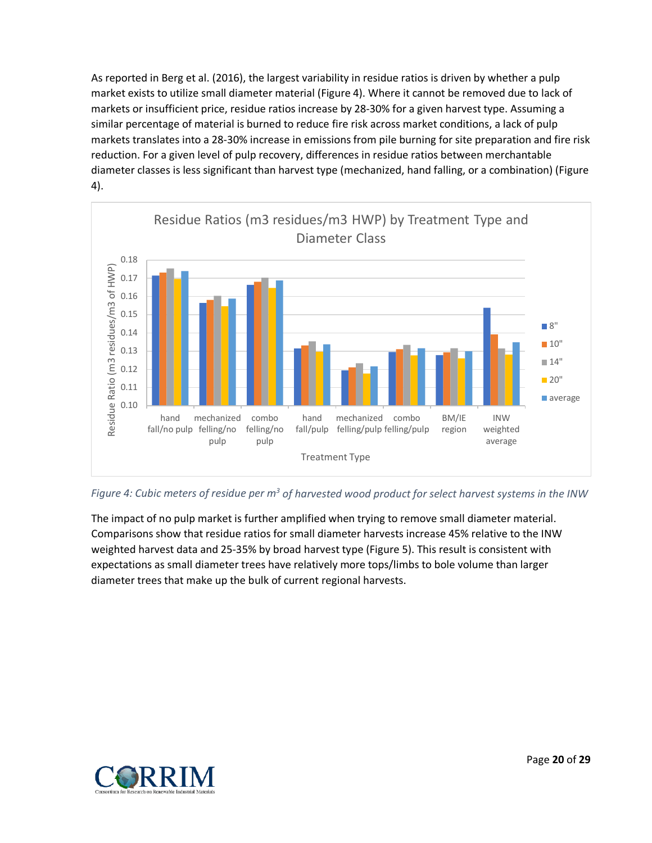As reported in Berg et al. (2016), the largest variability in residue ratios is driven by whether a pulp market exists to utilize small diameter material [\(Figure 4\)](#page-19-0). Where it cannot be removed due to lack of markets or insufficient price, residue ratios increase by 28-30% for a given harvest type. Assuming a similar percentage of material is burned to reduce fire risk across market conditions, a lack of pulp markets translates into a 28-30% increase in emissions from pile burning for site preparation and fire risk reduction. For a given level of pulp recovery, differences in residue ratios between merchantable diameter classes is less significant than harvest type (mechanized, hand falling, or a combination) [\(Figure](#page-19-0)  [4\)](#page-19-0).



<span id="page-19-0"></span>*Figure 4: Cubic meters of residue per m3 of harvested wood product for select harvest systems in the INW*

The impact of no pulp market is further amplified when trying to remove small diameter material. Comparisons show that residue ratios for small diameter harvests increase 45% relative to the INW weighted harvest data and 25-35% by broad harvest type [\(Figure 5\)](#page-20-2). This result is consistent with expectations as small diameter trees have relatively more tops/limbs to bole volume than larger diameter trees that make up the bulk of current regional harvests.

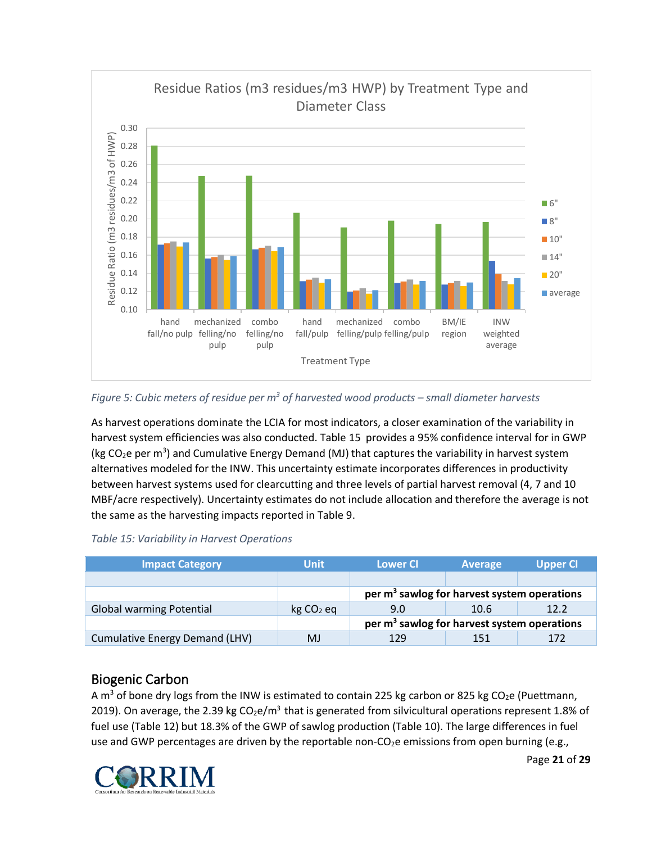

#### <span id="page-20-2"></span>*Figure 5: Cubic meters of residue per m3 of harvested wood products – small diameter harvests*

As harvest operations dominate the LCIA for most indicators, a closer examination of the variability in harvest system efficiencies was also conducted. [Table 15](#page-20-1) provides a 95% confidence interval for in GWP (kg CO<sub>2</sub>e per m<sup>3</sup>) and Cumulative Energy Demand (MJ) that captures the variability in harvest system alternatives modeled for the INW. This uncertainty estimate incorporates differences in productivity between harvest systems used for clearcutting and three levels of partial harvest removal (4, 7 and 10 MBF/acre respectively). Uncertainty estimates do not include allocation and therefore the average is not the same as the harvesting impacts reported in [Table 9.](#page-15-2)

#### <span id="page-20-1"></span>*Table 15: Variability in Harvest Operations*

| <b>Impact Category</b>          | <b>Unit</b>           | <b>Lower CI</b>                                         | <b>Average</b> | <b>Upper CI</b> |  |  |
|---------------------------------|-----------------------|---------------------------------------------------------|----------------|-----------------|--|--|
|                                 |                       |                                                         |                |                 |  |  |
|                                 |                       | per m <sup>3</sup> sawlog for harvest system operations |                |                 |  |  |
| <b>Global warming Potential</b> | kg CO <sub>2</sub> eq | 9.0                                                     | 10.6           | 12.2            |  |  |
|                                 |                       | per $m3$ sawlog for harvest system operations           |                |                 |  |  |
| Cumulative Energy Demand (LHV)  | MJ                    | 129                                                     | 151            | 172             |  |  |

### <span id="page-20-0"></span>Biogenic Carbon

A m<sup>3</sup> of bone dry logs from the INW is estimated to contain 225 kg carbon or 825 kg CO<sub>2</sub>e (Puettmann, 2019). On average, the 2.39 kg  $CO<sub>2</sub>e/m<sup>3</sup>$  that is generated from silvicultural operations represent 1.8% of fuel use [\(Table 12\)](#page-17-1) but 18.3% of the GWP of sawlog production [\(Table 10\)](#page-15-3). The large differences in fuel use and GWP percentages are driven by the reportable non-CO<sub>2</sub>e emissions from open burning (e.g.,

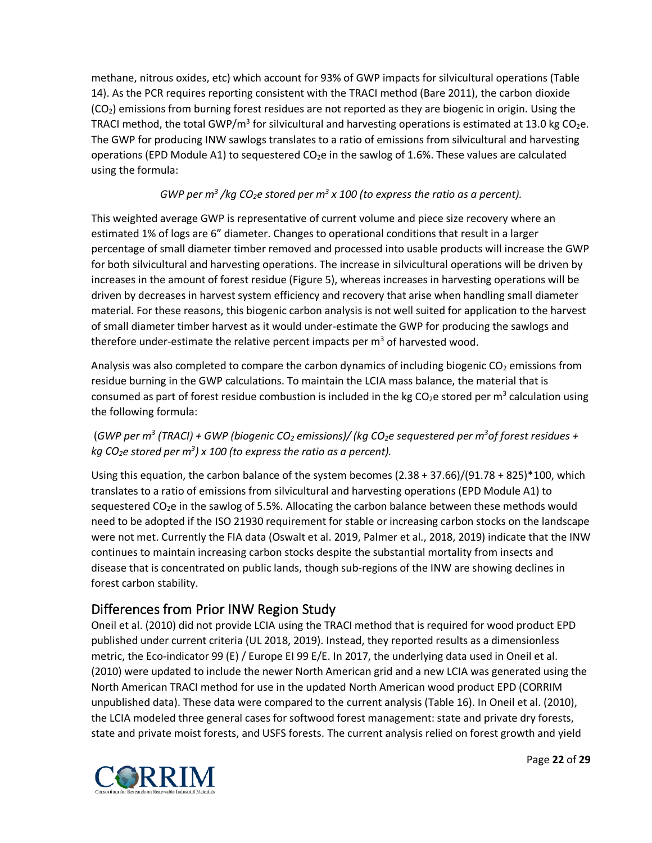methane, nitrous oxides, etc) which account for 93% of GWP impacts for silvicultural operations [\(Table](#page-18-1)  [14\)](#page-18-1). As the PCR requires reporting consistent with the TRACI method (Bare 2011), the carbon dioxide  $(CO<sub>2</sub>)$  emissions from burning forest residues are not reported as they are biogenic in origin. Using the TRACI method, the total GWP/m<sup>3</sup> for silvicultural and harvesting operations is estimated at 13.0 kg CO<sub>2</sub>e. The GWP for producing INW sawlogs translates to a ratio of emissions from silvicultural and harvesting operations (EPD Module A1) to sequestered  $CO<sub>2</sub>e$  in the sawlog of 1.6%. These values are calculated using the formula:

### *GWP per m<sup>3</sup> /kg CO<sub>2</sub>e stored per m<sup>3</sup> x 100 (to express the ratio as a percent).*

This weighted average GWP is representative of current volume and piece size recovery where an estimated 1% of logs are 6" diameter. Changes to operational conditions that result in a larger percentage of small diameter timber removed and processed into usable products will increase the GWP for both silvicultural and harvesting operations. The increase in silvicultural operations will be driven by increases in the amount of forest residue [\(Figure 5\)](#page-20-2), whereas increases in harvesting operations will be driven by decreases in harvest system efficiency and recovery that arise when handling small diameter material. For these reasons, this biogenic carbon analysis is not well suited for application to the harvest of small diameter timber harvest as it would under-estimate the GWP for producing the sawlogs and therefore under-estimate the relative percent impacts per  $m<sup>3</sup>$  of harvested wood.

Analysis was also completed to compare the carbon dynamics of including biogenic  $CO<sub>2</sub>$  emissions from residue burning in the GWP calculations. To maintain the LCIA mass balance, the material that is consumed as part of forest residue combustion is included in the kg  $CO<sub>2</sub>e$  stored per m<sup>3</sup> calculation using the following formula:

#### (GWP per m<sup>3</sup> (TRACI) + GWP (biogenic CO<sub>2</sub> emissions)/ (kg CO<sub>2</sub>e sequestered per m<sup>3</sup> of forest residues + *kg CO2e stored per m3 ) x 100 (to express the ratio as a percent).*

Using this equation, the carbon balance of the system becomes (2.38 + 37.66)/(91.78 + 825)\*100, which translates to a ratio of emissions from silvicultural and harvesting operations (EPD Module A1) to sequestered  $CO<sub>2</sub>e$  in the sawlog of 5.5%. Allocating the carbon balance between these methods would need to be adopted if the ISO 21930 requirement for stable or increasing carbon stocks on the landscape were not met. Currently the FIA data (Oswalt et al. 2019, Palmer et al., 2018, 2019) indicate that the INW continues to maintain increasing carbon stocks despite the substantial mortality from insects and disease that is concentrated on public lands, though sub-regions of the INW are showing declines in forest carbon stability.

# <span id="page-21-0"></span>Differences from Prior INW Region Study

Oneil et al. (2010) did not provide LCIA using the TRACI method that is required for wood product EPD published under current criteria (UL 2018, 2019). Instead, they reported results as a dimensionless metric, the Eco-indicator 99 (E) / Europe EI 99 E/E. In 2017, the underlying data used in Oneil et al. (2010) were updated to include the newer North American grid and a new LCIA was generated using the North American TRACI method for use in the updated North American wood product EPD (CORRIM unpublished data). These data were compared to the current analysis [\(Table 16\)](#page-22-0). In Oneil et al. (2010), the LCIA modeled three general cases for softwood forest management: state and private dry forests, state and private moist forests, and USFS forests. The current analysis relied on forest growth and yield

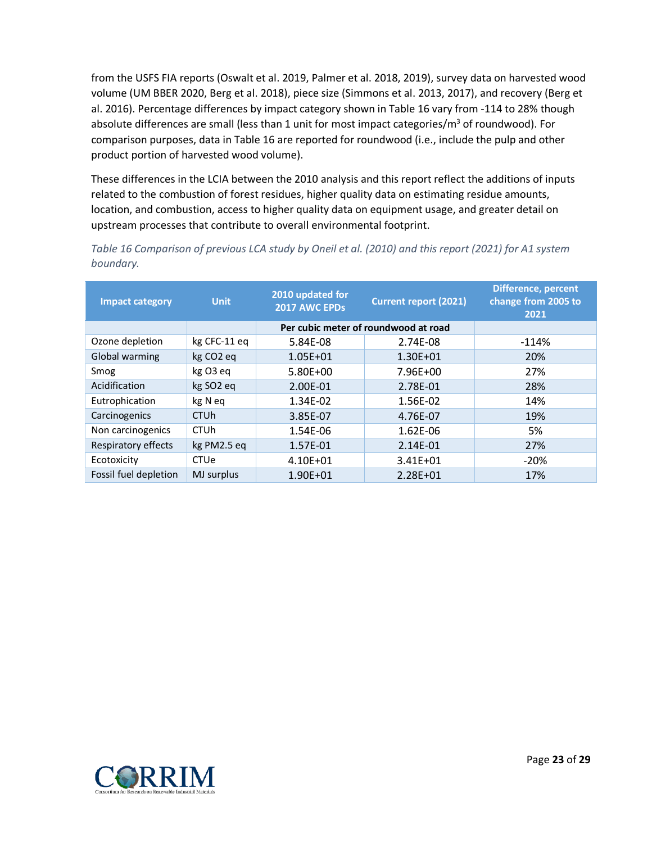from the USFS FIA reports (Oswalt et al. 2019, Palmer et al. 2018, 2019), survey data on harvested wood volume (UM BBER 2020, Berg et al. 2018), piece size (Simmons et al. 2013, 2017), and recovery (Berg et al. 2016). Percentage differences by impact category shown i[n Table 16](#page-22-0) vary from -114 to 28% though absolute differences are small (less than 1 unit for most impact categories/ $m<sup>3</sup>$  of roundwood). For comparison purposes, data in [Table 16](#page-22-0) are reported for roundwood (i.e., include the pulp and other product portion of harvested wood volume).

These differences in the LCIA between the 2010 analysis and this report reflect the additions of inputs related to the combustion of forest residues, higher quality data on estimating residue amounts, location, and combustion, access to higher quality data on equipment usage, and greater detail on upstream processes that contribute to overall environmental footprint.

| <b>Impact category</b> | <b>Unit</b>            | 2010 updated for<br><b>Current report (2021)</b><br>2017 AWC EPDs |                                      | <b>Difference, percent</b><br>change from 2005 to<br>2021 |
|------------------------|------------------------|-------------------------------------------------------------------|--------------------------------------|-----------------------------------------------------------|
|                        |                        |                                                                   | Per cubic meter of roundwood at road |                                                           |
| Ozone depletion        | kg CFC-11 eq           | 5.84E-08                                                          | 2.74E-08                             | $-114%$                                                   |
| Global warming         | kg CO <sub>2</sub> eq  | $1.05E + 01$                                                      | 1.30E+01                             | 20%                                                       |
| Smog                   | kg O3 eq               | $5.80E + 00$                                                      | 7.96E+00                             | 27%                                                       |
| Acidification          | kg SO <sub>2</sub> eq  | 2.00E-01                                                          | 2.78E-01                             | 28%                                                       |
| Eutrophication         | kg N eq                | 1.34E-02                                                          | 1.56E-02                             | 14%                                                       |
| Carcinogenics          | <b>CTU<sub>h</sub></b> | 3.85E-07                                                          | 4.76E-07                             | 19%                                                       |
| Non carcinogenics      | <b>CTU<sub>h</sub></b> | 1.54E-06                                                          | 1.62E-06                             | 5%                                                        |
| Respiratory effects    | kg PM2.5 eg            | 1.57E-01                                                          | 2.14E-01                             | 27%                                                       |
| Ecotoxicity            | <b>CTUe</b>            | 4.10E+01                                                          | $3.41E + 01$                         | $-20%$                                                    |
| Fossil fuel depletion  | MJ surplus             | 1.90E+01                                                          | 2.28E+01                             | 17%                                                       |

<span id="page-22-0"></span>*Table 16 Comparison of previous LCA study by Oneil et al. (2010) and this report (2021) for A1 system boundary.*

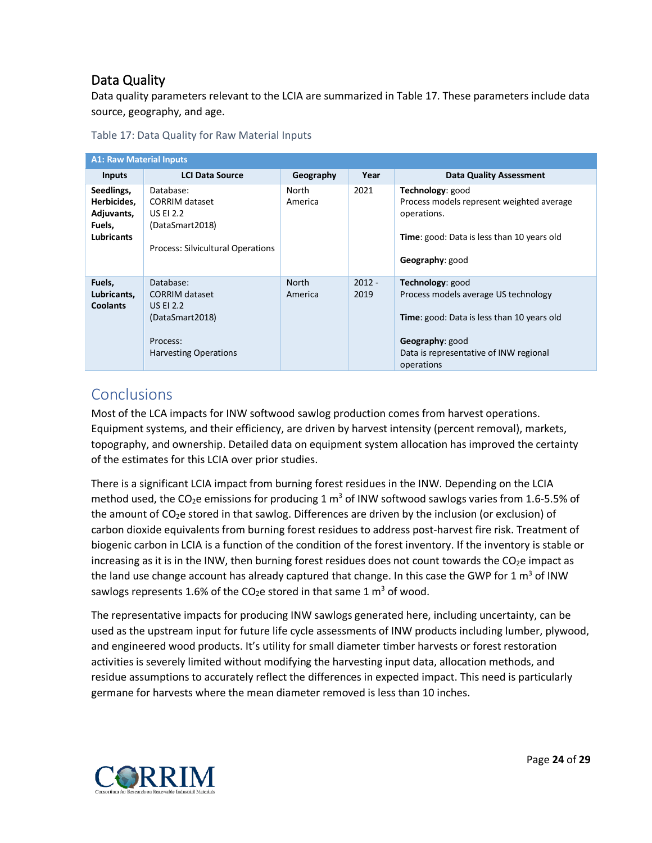# <span id="page-23-0"></span>Data Quality

Data quality parameters relevant to the LCIA are summarized i[n Table 17.](#page-23-2) These parameters include data source, geography, and age.

<span id="page-23-2"></span>

| Table 17: Data Quality for Raw Material Inputs |  |  |  |
|------------------------------------------------|--|--|--|
|------------------------------------------------|--|--|--|

| <b>A1: Raw Material Inputs</b>                                         |                                                                                                                       |                         |                  |                                                                                                                                                                                   |  |  |
|------------------------------------------------------------------------|-----------------------------------------------------------------------------------------------------------------------|-------------------------|------------------|-----------------------------------------------------------------------------------------------------------------------------------------------------------------------------------|--|--|
| <b>Inputs</b>                                                          | <b>LCI Data Source</b>                                                                                                | Geography               | Year             | <b>Data Quality Assessment</b>                                                                                                                                                    |  |  |
| Seedlings,<br>Herbicides,<br>Adjuvants,<br>Fuels,<br><b>Lubricants</b> | Database:<br>CORRIM dataset<br><b>US EI 2.2</b><br>(DataSmart2018)<br>Process: Silvicultural Operations               | North<br>America        | 2021             | Technology: good<br>Process models represent weighted average<br>operations.<br>Time: good: Data is less than 10 years old<br>Geography: good                                     |  |  |
| Fuels,<br>Lubricants,<br><b>Coolants</b>                               | Database:<br><b>CORRIM dataset</b><br><b>US EI 2.2</b><br>(DataSmart2018)<br>Process:<br><b>Harvesting Operations</b> | <b>North</b><br>America | $2012 -$<br>2019 | Technology: good<br>Process models average US technology<br>Time: good: Data is less than 10 years old<br>Geography: good<br>Data is representative of INW regional<br>operations |  |  |

# <span id="page-23-1"></span>**Conclusions**

Most of the LCA impacts for INW softwood sawlog production comes from harvest operations. Equipment systems, and their efficiency, are driven by harvest intensity (percent removal), markets, topography, and ownership. Detailed data on equipment system allocation has improved the certainty of the estimates for this LCIA over prior studies.

There is a significant LCIA impact from burning forest residues in the INW. Depending on the LCIA method used, the CO<sub>2</sub>e emissions for producing 1 m<sup>3</sup> of INW softwood sawlogs varies from 1.6-5.5% of the amount of CO<sub>2</sub>e stored in that sawlog. Differences are driven by the inclusion (or exclusion) of carbon dioxide equivalents from burning forest residues to address post-harvest fire risk. Treatment of biogenic carbon in LCIA is a function of the condition of the forest inventory. If the inventory is stable or increasing as it is in the INW, then burning forest residues does not count towards the  $CO<sub>2</sub>e$  impact as the land use change account has already captured that change. In this case the GWP for 1  $\text{m}^3$  of INW sawlogs represents 1.6% of the CO<sub>2</sub>e stored in that same 1  $m<sup>3</sup>$  of wood.

The representative impacts for producing INW sawlogs generated here, including uncertainty, can be used as the upstream input for future life cycle assessments of INW products including lumber, plywood, and engineered wood products. It's utility for small diameter timber harvests or forest restoration activities is severely limited without modifying the harvesting input data, allocation methods, and residue assumptions to accurately reflect the differences in expected impact. This need is particularly germane for harvests where the mean diameter removed is less than 10 inches.

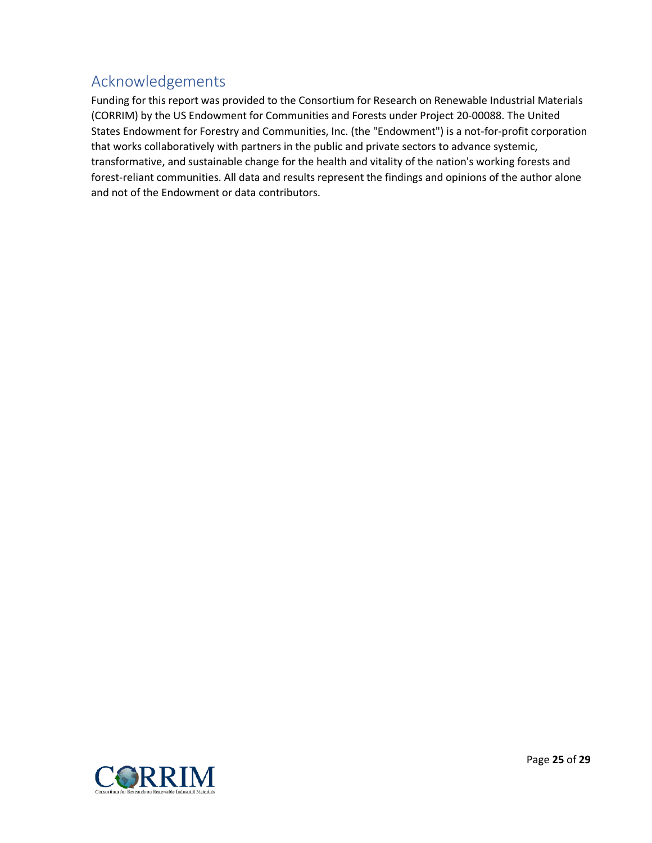# <span id="page-24-0"></span>Acknowledgements

Funding for this report was provided to the Consortium for Research on Renewable Industrial Materials (CORRIM) by the US Endowment for Communities and Forests under Project 20-00088. The United States Endowment for Forestry and Communities, Inc. (the "Endowment") is a not-for-profit corporation that works collaboratively with partners in the public and private sectors to advance systemic, transformative, and sustainable change for the health and vitality of the nation's working forests and forest-reliant communities. All data and results represent the findings and opinions of the author alone and not of the Endowment or data contributors.

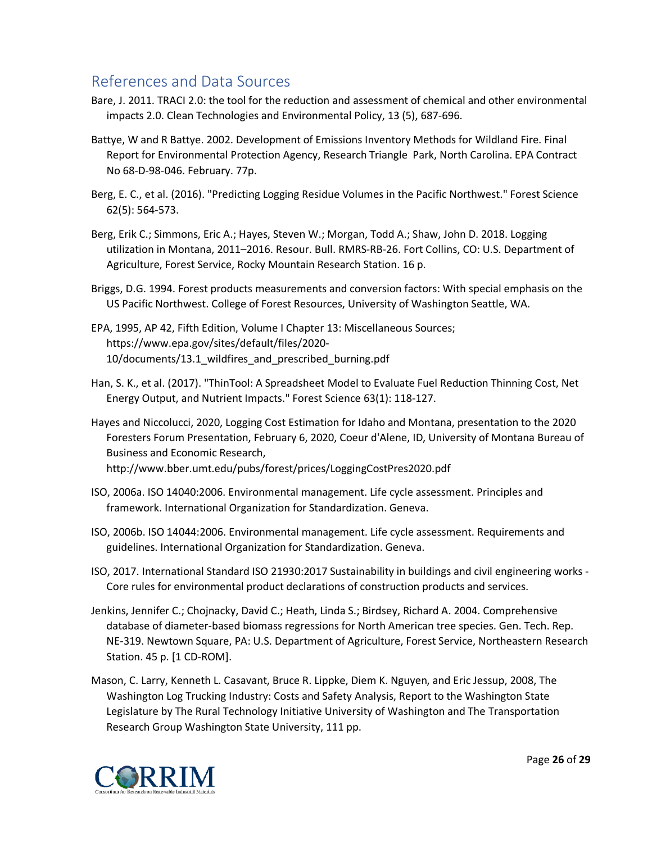# <span id="page-25-0"></span>References and Data Sources

- Bare, J. 2011. TRACI 2.0: the tool for the reduction and assessment of chemical and other environmental impacts 2.0. Clean Technologies and Environmental Policy, 13 (5), 687-696.
- Battye, W and R Battye. 2002. Development of Emissions Inventory Methods for Wildland Fire. Final Report for Environmental Protection Agency, Research Triangle Park, North Carolina. EPA Contract No 68-D-98-046. February. 77p.
- Berg, E. C., et al. (2016). "Predicting Logging Residue Volumes in the Pacific Northwest." Forest Science 62(5): 564-573.
- Berg, Erik C.; Simmons, Eric A.; Hayes, Steven W.; Morgan, Todd A.; Shaw, John D. 2018. Logging utilization in Montana, 2011–2016. Resour. Bull. RMRS-RB-26. Fort Collins, CO: U.S. Department of Agriculture, Forest Service, Rocky Mountain Research Station. 16 p.
- Briggs, D.G. 1994. Forest products measurements and conversion factors: With special emphasis on the US Pacific Northwest. College of Forest Resources, University of Washington Seattle, WA.
- EPA, 1995, AP 42, Fifth Edition, Volume I Chapter 13: Miscellaneous Sources; https://www.epa.gov/sites/default/files/2020- 10/documents/13.1\_wildfires\_and\_prescribed\_burning.pdf
- Han, S. K., et al. (2017). "ThinTool: A Spreadsheet Model to Evaluate Fuel Reduction Thinning Cost, Net Energy Output, and Nutrient Impacts." Forest Science 63(1): 118-127.
- Hayes and Niccolucci, 2020, Logging Cost Estimation for Idaho and Montana, presentation to the 2020 Foresters Forum Presentation, February 6, 2020, Coeur d'Alene, ID, University of Montana Bureau of Business and Economic Research, http://www.bber.umt.edu/pubs/forest/prices/LoggingCostPres2020.pdf
- ISO, 2006a. ISO 14040:2006. Environmental management. Life cycle assessment. Principles and framework. International Organization for Standardization. Geneva.
- ISO, 2006b. ISO 14044:2006. Environmental management. Life cycle assessment. Requirements and guidelines. International Organization for Standardization. Geneva.
- ISO, 2017. International Standard ISO 21930:2017 Sustainability in buildings and civil engineering works Core rules for environmental product declarations of construction products and services.
- Jenkins, Jennifer C.; Chojnacky, David C.; Heath, Linda S.; Birdsey, Richard A. 2004. Comprehensive database of diameter-based biomass regressions for North American tree species. Gen. Tech. Rep. NE-319. Newtown Square, PA: U.S. Department of Agriculture, Forest Service, Northeastern Research Station. 45 p. [1 CD-ROM].
- Mason, C. Larry, Kenneth L. Casavant, Bruce R. Lippke, Diem K. Nguyen, and Eric Jessup, 2008, The Washington Log Trucking Industry: Costs and Safety Analysis, Report to the Washington State Legislature by The Rural Technology Initiative University of Washington and The Transportation Research Group Washington State University, 111 pp.

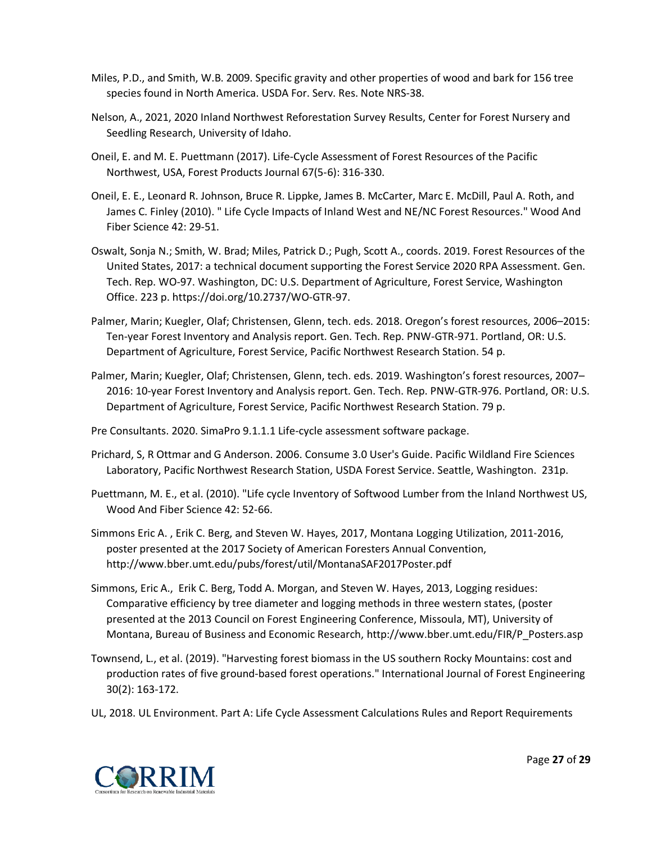- Miles, P.D., and Smith, W.B. 2009. Specific gravity and other properties of wood and bark for 156 tree species found in North America. USDA For. Serv. Res. Note NRS-38.
- Nelson, A., 2021, 2020 Inland Northwest Reforestation Survey Results, Center for Forest Nursery and Seedling Research, University of Idaho.
- Oneil, E. and M. E. Puettmann (2017). Life-Cycle Assessment of Forest Resources of the Pacific Northwest, USA, Forest Products Journal 67(5-6): 316-330.
- Oneil, E. E., Leonard R. Johnson, Bruce R. Lippke, James B. McCarter, Marc E. McDill, Paul A. Roth, and James C. Finley (2010). " Life Cycle Impacts of Inland West and NE/NC Forest Resources." Wood And Fiber Science 42: 29-51.
- Oswalt, Sonja N.; Smith, W. Brad; Miles, Patrick D.; Pugh, Scott A., coords. 2019. Forest Resources of the United States, 2017: a technical document supporting the Forest Service 2020 RPA Assessment. Gen. Tech. Rep. WO-97. Washington, DC: U.S. Department of Agriculture, Forest Service, Washington Office. 223 p. https://doi.org/10.2737/WO-GTR-97.
- Palmer, Marin; Kuegler, Olaf; Christensen, Glenn, tech. eds. 2018. Oregon's forest resources, 2006–2015: Ten-year Forest Inventory and Analysis report. Gen. Tech. Rep. PNW-GTR-971. Portland, OR: U.S. Department of Agriculture, Forest Service, Pacific Northwest Research Station. 54 p.
- Palmer, Marin; Kuegler, Olaf; Christensen, Glenn, tech. eds. 2019. Washington's forest resources, 2007– 2016: 10-year Forest Inventory and Analysis report. Gen. Tech. Rep. PNW-GTR-976. Portland, OR: U.S. Department of Agriculture, Forest Service, Pacific Northwest Research Station. 79 p.

Pre Consultants. 2020. SimaPro 9.1.1.1 Life-cycle assessment software package.

- Prichard, S, R Ottmar and G Anderson. 2006. Consume 3.0 User's Guide. Pacific Wildland Fire Sciences Laboratory, Pacific Northwest Research Station, USDA Forest Service. Seattle, Washington. 231p.
- Puettmann, M. E., et al. (2010). "Life cycle Inventory of Softwood Lumber from the Inland Northwest US, Wood And Fiber Science 42: 52-66.
- Simmons Eric A. , Erik C. Berg, and Steven W. Hayes, 2017, Montana Logging Utilization, 2011-2016, poster presented at the 2017 Society of American Foresters Annual Convention, http://www.bber.umt.edu/pubs/forest/util/MontanaSAF2017Poster.pdf
- Simmons, Eric A., Erik C. Berg, Todd A. Morgan, and Steven W. Hayes, 2013, Logging residues: Comparative efficiency by tree diameter and logging methods in three western states, (poster presented at the 2013 Council on Forest Engineering Conference, Missoula, MT), University of Montana, Bureau of Business and Economic Research, http://www.bber.umt.edu/FIR/P\_Posters.asp
- Townsend, L., et al. (2019). "Harvesting forest biomass in the US southern Rocky Mountains: cost and production rates of five ground-based forest operations." International Journal of Forest Engineering 30(2): 163-172.
- UL, 2018. UL Environment. Part A: Life Cycle Assessment Calculations Rules and Report Requirements

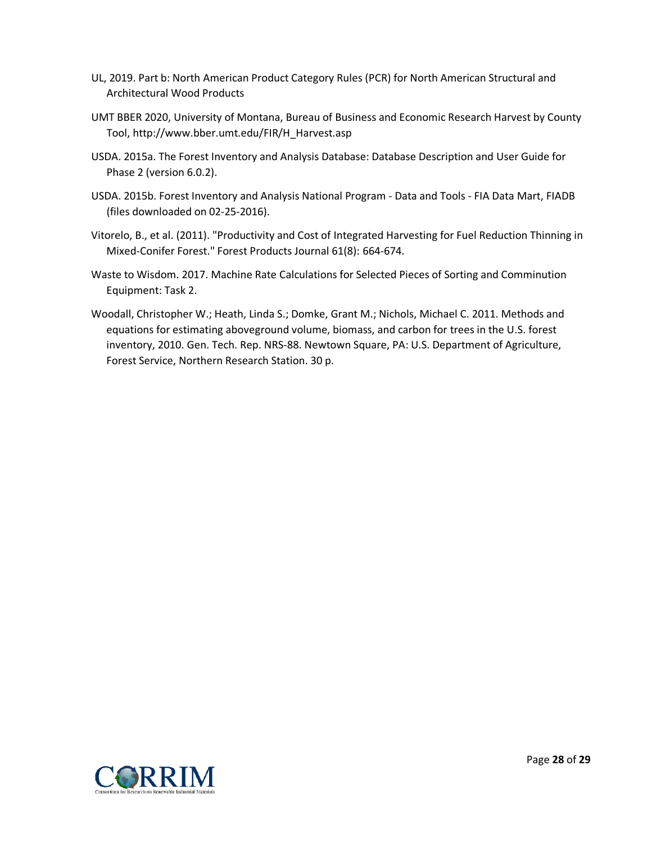- UL, 2019. Part b: North American Product Category Rules (PCR) for North American Structural and Architectural Wood Products
- UMT BBER 2020, University of Montana, Bureau of Business and Economic Research Harvest by County Tool, http://www.bber.umt.edu/FIR/H\_Harvest.asp
- USDA. 2015a. The Forest Inventory and Analysis Database: Database Description and User Guide for Phase 2 (version 6.0.2).
- USDA. 2015b. Forest Inventory and Analysis National Program Data and Tools FIA Data Mart, FIADB (files downloaded on 02-25-2016).
- Vitorelo, B., et al. (2011). "Productivity and Cost of Integrated Harvesting for Fuel Reduction Thinning in Mixed-Conifer Forest." Forest Products Journal 61(8): 664-674.
- Waste to Wisdom. 2017. Machine Rate Calculations for Selected Pieces of Sorting and Comminution Equipment: Task 2.
- Woodall, Christopher W.; Heath, Linda S.; Domke, Grant M.; Nichols, Michael C. 2011. Methods and equations for estimating aboveground volume, biomass, and carbon for trees in the U.S. forest inventory, 2010. Gen. Tech. Rep. NRS-88. Newtown Square, PA: U.S. Department of Agriculture, Forest Service, Northern Research Station. 30 p.